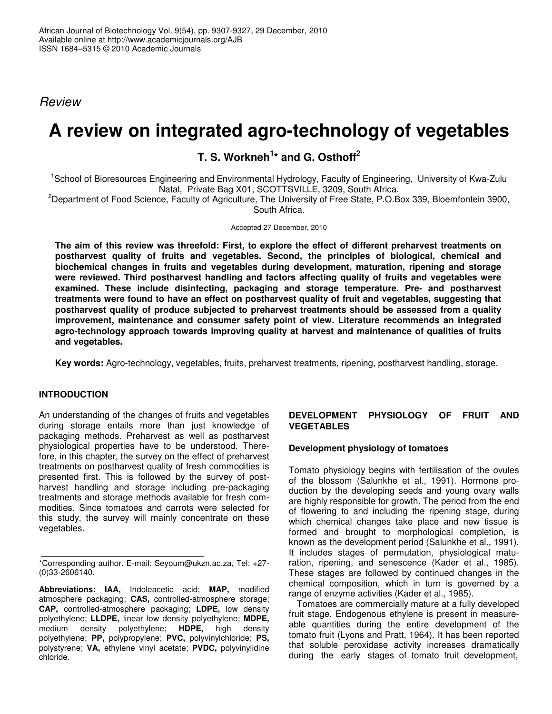*Review*

# **A review on integrated agro-technology of vegetables**

# **T. S. Workneh 1 \* and G. Osthoff 2**

<sup>1</sup>School of Bioresources Engineering and Environmental Hydrology, Faculty of Engineering, University of Kwa-Zulu Natal, Private Bag X01, SCOTTSVILLE, 3209, South Africa.

<sup>2</sup>Department of Food Science, Faculty of Agriculture, The University of Free State, P.O.Box 339, Bloemfontein 3900, South Africa.

Accepted 27 December, 2010

**The aim of this review was threefold: First, to explore the effect of different preharvest treatments on postharvest quality of fruits and vegetables. Second, the principles of biological, chemical and biochemical changes in fruits and vegetables during development, maturation, ripening and storage were reviewed. Third postharvest handling and factors affecting quality of fruits and vegetables were examined. These include disinfecting, packaging and storage temperature. Pre- and postharvest treatments were found to have an effect on postharvest quality of fruit and vegetables, suggesting that postharvest quality of produce subjected to preharvest treatments should be assessed from a quality improvement, maintenance and consumer safety point of view. Literature recommends an integrated agro-technology approach towards improving quality at harvest and maintenance of qualities of fruits and vegetables.**

**Key words:** Agro-technology, vegetables, fruits, preharvest treatments, ripening, postharvest handling, storage.

#### **INTRODUCTION**

An understanding of the changes of fruits and vegetables during storage entails more than just knowledge of packaging methods. Preharvest as well as postharvest physiological properties have to be understood. Therefore, in this chapter, the survey on the effect of preharvest treatments on postharvest quality of fresh commodities is presented first. This is followed by the survey of postharvest handling and storage including pre-packaging treatments and storage methods available for fresh commodities. Since tomatoes and carrots were selected for this study, the survey will mainly concentrate on these vegetables.

**Abbreviations: IAA,** Indoleacetic acid; **MAP,** modified atmosphere packaging; **CAS,** controlled-atmosphere storage; **CAP,** controlled-atmosphere packaging; **LDPE,** low density polyethylene; **LLDPE,** linear low density polyethylene; **MDPE,** medium density polyethylene; **HDPE,** high density polyethylene; **PP,** polypropylene; **PVC,** polyvinylchloride; **PS,** polystyrene; **VA,** ethylene vinyl acetate; **PVDC,** polyvinylidine chloride.

#### **DEVELOPMENT PHYSIOLOGY OF FRUIT AND VEGETABLES**

#### **Development physiology of tomatoes**

Tomato physiology begins with fertilisation of the ovules of the blossom (Salunkhe et al., 1991). Hormone production by the developing seeds and young ovary walls are highly responsible for growth. The period from the end of flowering to and including the ripening stage, during which chemical changes take place and new tissue is formed and brought to morphological completion, is known as the development period (Salunkhe et al., 1991). It includes stages of permutation, physiological maturation, ripening, and senescence (Kader et al., 1985). These stages are followed by continued changes in the chemical composition, which in turn is governed by a range of enzyme activities (Kader et al., 1985).

Tomatoes are commercially mature at a fully developed fruit stage. Endogenous ethylene is present in measureable quantities during the entire development of the tomato fruit (Lyons and Pratt, 1964). It has been reported that soluble peroxidase activity increases dramatically during the early stages of tomato fruit development,

<sup>\*</sup>Corresponding author. E-mail: Seyoum@ukzn.ac.za, Tel: +27- (0)33-2606140.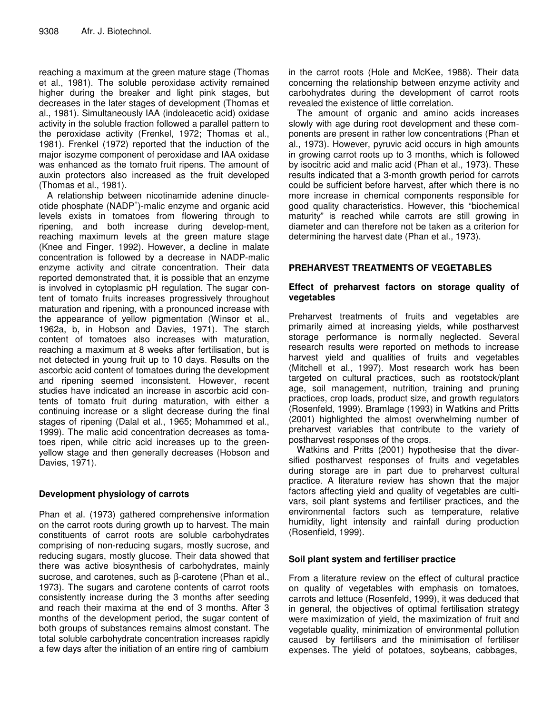reaching a maximum at the green mature stage (Thomas et al., 1981). The soluble peroxidase activity remained higher during the breaker and light pink stages, but decreases in the later stages of development (Thomas et al., 1981). Simultaneously IAA (indoleacetic acid) oxidase activity in the soluble fraction followed a parallel pattern to the peroxidase activity (Frenkel, 1972; Thomas et al., 1981). Frenkel (1972) reported that the induction of the major isozyme component of peroxidase and IAA oxidase was enhanced as the tomato fruit ripens. The amount of auxin protectors also increased as the fruit developed (Thomas et al., 1981).

A relationship between nicotinamide adenine dinucleotide phosphate (NADP<sup>+</sup>)-malic enzyme and organic acid levels exists in tomatoes from flowering through to ripening, and both increase during develop-ment, reaching maximum levels at the green mature stage (Knee and Finger, 1992). However, a decline in malate concentration is followed by a decrease in NADP-malic enzyme activity and citrate concentration. Their data reported demonstrated that, it is possible that an enzyme is involved in cytoplasmic pH regulation. The sugar content of tomato fruits increases progressively throughout maturation and ripening, with a pronounced increase with the appearance of yellow pigmentation (Winsor et al., 1962a, b, in Hobson and Davies, 1971). The starch content of tomatoes also increases with maturation, reaching a maximum at 8 weeks after fertilisation, but is not detected in young fruit up to 10 days. Results on the ascorbic acid content of tomatoes during the development and ripening seemed inconsistent. However, recent studies have indicated an increase in ascorbic acid contents of tomato fruit during maturation, with either a continuing increase or a slight decrease during the final stages of ripening (Dalal et al., 1965; Mohammed et al., 1999). The malic acid concentration decreases as tomatoes ripen, while citric acid increases up to the greenyellow stage and then generally decreases (Hobson and Davies, 1971).

#### **Development physiology of carrots**

Phan et al. (1973) gathered comprehensive information on the carrot roots during growth up to harvest. The main constituents of carrot roots are soluble carbohydrates comprising of non-reducing sugars, mostly sucrose, and reducing sugars, mostly glucose. Their data showed that there was active biosynthesis of carbohydrates, mainly sucrose, and carotenes, such as β-carotene (Phan et al., 1973). The sugars and carotene contents of carrot roots consistently increase during the 3 months after seeding and reach their maxima at the end of 3 months. After 3 months of the development period, the sugar content of both groups of substances remains almost constant. The total soluble carbohydrate concentration increases rapidly a few days after the initiation of an entire ring of cambium

in the carrot roots (Hole and McKee, 1988). Their data concerning the relationship between enzyme activity and carbohydrates during the development of carrot roots revealed the existence of little correlation.

The amount of organic and amino acids increases slowly with age during root development and these components are present in rather low concentrations (Phan et al., 1973). However, pyruvic acid occurs in high amounts in growing carrot roots up to 3 months, which is followed by isocitric acid and malic acid (Phan et al., 1973). These results indicated that a 3-month growth period for carrots could be sufficient before harvest, after which there is no more increase in chemical components responsible for good quality characteristics. However, this "biochemical maturity" is reached while carrots are still growing in diameter and can therefore not be taken as a criterion for determining the harvest date (Phan et al., 1973).

#### **PREHARVEST TREATMENTS OF VEGETABLES**

#### **Effect of preharvest factors on storage quality of vegetables**

Preharvest treatments of fruits and vegetables are primarily aimed at increasing yields, while postharvest storage performance is normally neglected. Several research results were reported on methods to increase harvest yield and qualities of fruits and vegetables (Mitchell et al., 1997). Most research work has been targeted on cultural practices, such as rootstock/plant age, soil management, nutrition, training and pruning practices, crop loads, product size, and growth regulators (Rosenfeld, 1999). Bramlage (1993) in Watkins and Pritts (2001) highlighted the almost overwhelming number of preharvest variables that contribute to the variety of postharvest responses of the crops.

Watkins and Pritts (2001) hypothesise that the diversified postharvest responses of fruits and vegetables during storage are in part due to preharvest cultural practice. A literature review has shown that the major factors affecting yield and quality of vegetables are cultivars, soil plant systems and fertiliser practices, and the environmental factors such as temperature, relative humidity, light intensity and rainfall during production (Rosenfield, 1999).

#### **Soil plant system and fertiliser practice**

From a literature review on the effect of cultural practice on quality of vegetables with emphasis on tomatoes, carrots and lettuce (Rosenfeld, 1999), it was deduced that in general, the objectives of optimal fertilisation strategy were maximization of yield, the maximization of fruit and vegetable quality, minimization of environmental pollution caused by fertilisers and the minimisation of fertiliser expenses. The yield of potatoes, soybeans, cabbages,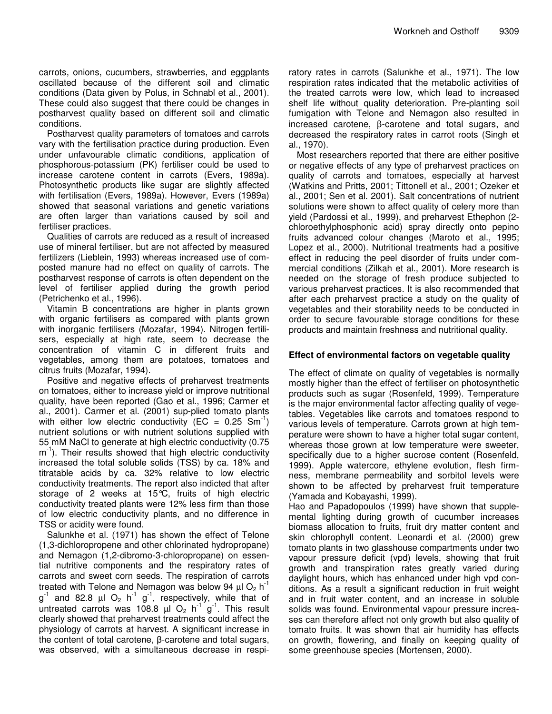carrots, onions, cucumbers, strawberries, and eggplants oscillated because of the different soil and climatic conditions (Data given by Polus, in Schnabl et al., 2001). These could also suggest that there could be changes in postharvest quality based on different soil and climatic conditions.

Postharvest quality parameters of tomatoes and carrots vary with the fertilisation practice during production. Even under unfavourable climatic conditions, application of phosphorous-potassium (PK) fertiliser could be used to increase carotene content in carrots (Evers, 1989a). Photosynthetic products like sugar are slightly affected with fertilisation (Evers, 1989a). However, Evers (1989a) showed that seasonal variations and genetic variations are often larger than variations caused by soil and fertiliser practices.

Qualities of carrots are reduced as a result of increased use of mineral fertiliser, but are not affected by measured fertilizers (Lieblein, 1993) whereas increased use of composted manure had no effect on quality of carrots. The postharvest response of carrots is often dependent on the level of fertiliser applied during the growth period (Petrichenko et al., 1996).

Vitamin B concentrations are higher in plants grown with organic fertilisers as compared with plants grown with inorganic fertilisers (Mozafar, 1994). Nitrogen fertilisers, especially at high rate, seem to decrease the concentration of vitamin C in different fruits and vegetables, among them are potatoes, tomatoes and citrus fruits (Mozafar, 1994).

Positive and negative effects of preharvest treatments on tomatoes, either to increase yield or improve nutritional quality, have been reported (Gao et al., 1996; Carmer et al., 2001). Carmer et al. (2001) sup-plied tomato plants with either low electric conductivity (EC =  $0.25 \text{ Sm}^{-1}$ ) nutrient solutions or with nutrient solutions supplied with 55 mM NaCl to generate at high electric conductivity (0.75 m<sup>-1</sup>). Their results showed that high electric conductivity increased the total soluble solids (TSS) by ca. 18% and titratable acids by ca. 32% relative to low electric conductivity treatments. The report also indicted that after storage of 2 weeks at 15°C, fruits of high electric conductivity treated plants were 12% less firm than those of low electric conductivity plants, and no difference in TSS or acidity were found.

Salunkhe et al. (1971) has shown the effect of Telone (1,3-dichloropropene and other chlorinated hydropropane) and Nemagon (1,2-dibromo-3-chloropropane) on essential nutritive components and the respiratory rates of carrots and sweet corn seeds. The respiration of carrots treated with Telone and Nemagon was below 94  $\mu$ l O<sub>2</sub> h<sup>-1</sup>  $g^{-1}$  and 82.8  $\mu$ l O<sub>2</sub> h<sup>-1</sup> g<sup>-1</sup>, respectively, while that of untreated carrots was 108.8  $\mu$ l O<sub>2</sub> h<sup>-1</sup> g<sup>-1</sup>. This result clearly showed that preharvest treatments could affect the physiology of carrots at harvest. A significant increase in the content of total carotene,  $\beta$ -carotene and total sugars, was observed, with a simultaneous decrease in respi-

ratory rates in carrots (Salunkhe et al., 1971). The low respiration rates indicated that the metabolic activities of the treated carrots were low, which lead to increased shelf life without quality deterioration. Pre-planting soil fumigation with Telone and Nemagon also resulted in increased carotene, β-carotene and total sugars, and decreased the respiratory rates in carrot roots (Singh et al., 1970).

Most researchers reported that there are either positive or negative effects of any type of preharvest practices on quality of carrots and tomatoes, especially at harvest (Watkins and Pritts, 2001; Tittonell et al., 2001; Ozeker et al., 2001; Sen et al. 2001). Salt concentrations of nutrient solutions were shown to affect quality of celery more than yield (Pardossi et al., 1999), and preharvest Ethephon (2 chloroethylphosphonic acid) spray directly onto pepino fruits advanced colour changes (Maroto et al., 1995; Lopez et al., 2000). Nutritional treatments had a positive effect in reducing the peel disorder of fruits under commercial conditions (Zilkah et al., 2001). More research is needed on the storage of fresh produce subjected to various preharvest practices. It is also recommended that after each preharvest practice a study on the quality of vegetables and their storability needs to be conducted in order to secure favourable storage conditions for these products and maintain freshness and nutritional quality.

#### **Effect of environmental factors on vegetable quality**

The effect of climate on quality of vegetables is normally mostly higher than the effect of fertiliser on photosynthetic products such as sugar (Rosenfeld, 1999). Temperature is the major environmental factor affecting quality of vegetables. Vegetables like carrots and tomatoes respond to various levels of temperature. Carrots grown at high temperature were shown to have a higher total sugar content, whereas those grown at low temperature were sweeter, specifically due to a higher sucrose content (Rosenfeld, 1999). Apple watercore, ethylene evolution, flesh firmness, membrane permeability and sorbitol levels were shown to be affected by preharvest fruit temperature (Yamada and Kobayashi, 1999).

Hao and Papadopoulos (1999) have shown that supplemental lighting during growth of cucumber increases biomass allocation to fruits, fruit dry matter content and skin chlorophyll content. Leonardi et al. (2000) grew tomato plants in two glasshouse compartments under two vapour pressure deficit (vpd) levels, showing that fruit growth and transpiration rates greatly varied during daylight hours, which has enhanced under high vpd conditions. As a result a significant reduction in fruit weight and in fruit water content, and an increase in soluble solids was found. Environmental vapour pressure increases can therefore affect not only growth but also quality of tomato fruits. It was shown that air humidity has effects on growth, flowering, and finally on keeping quality of some greenhouse species (Mortensen, 2000).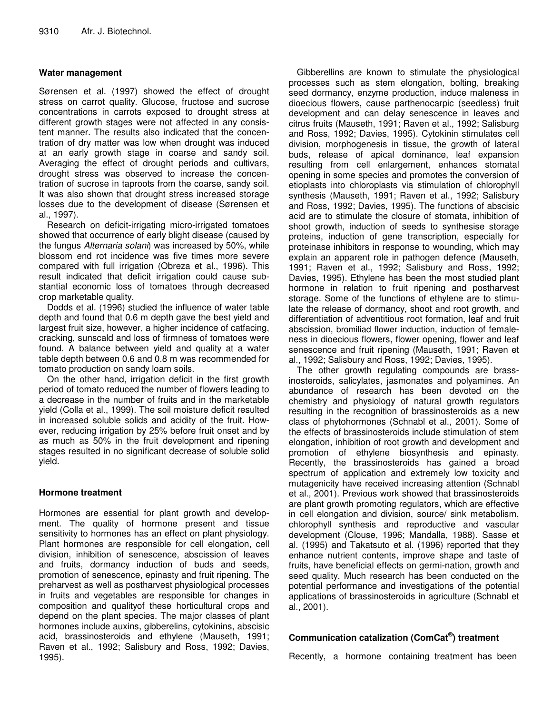#### **Water management**

Sørensen et al. (1997) showed the effect of drought stress on carrot quality. Glucose, fructose and sucrose concentrations in carrots exposed to drought stress at different growth stages were not affected in any consistent manner. The results also indicated that the concentration of dry matter was low when drought was induced at an early growth stage in coarse and sandy soil. Averaging the effect of drought periods and cultivars, drought stress was observed to increase the concentration of sucrose in taproots from the coarse, sandy soil. It was also shown that drought stress increased storage losses due to the development of disease (Sørensen et al., 1997).

Research on deficit-irrigating micro-irrigated tomatoes showed that occurrence of early blight disease (caused by the fungus *Alternaria solani*) was increased by 50%, while blossom end rot incidence was five times more severe compared with full irrigation (Obreza et al., 1996). This result indicated that deficit irrigation could cause substantial economic loss of tomatoes through decreased crop marketable quality.

Dodds et al. (1996) studied the influence of water table depth and found that 0.6 m depth gave the best yield and largest fruit size, however, a higher incidence of catfacing, cracking, sunscald and loss of firmness of tomatoes were found. A balance between yield and quality at a water table depth between 0.6 and 0.8 m was recommended for tomato production on sandy loam soils.

On the other hand, irrigation deficit in the first growth period of tomato reduced the number of flowers leading to a decrease in the number of fruits and in the marketable yield (Colla et al., 1999). The soil moisture deficit resulted in increased soluble solids and acidity of the fruit. However, reducing irrigation by 25% before fruit onset and by as much as 50% in the fruit development and ripening stages resulted in no significant decrease of soluble solid yield.

#### **Hormone treatment**

Hormones are essential for plant growth and development. The quality of hormone present and tissue sensitivity to hormones has an effect on plant physiology. Plant hormones are responsible for cell elongation, cell division, inhibition of senescence, abscission of leaves and fruits, dormancy induction of buds and seeds, promotion of senescence, epinasty and fruit ripening. The preharvest as well as postharvest physiological processes in fruits and vegetables are responsible for changes in composition and qualityof these horticultural crops and depend on the plant species. The major classes of plant hormones include auxins, gibberelins, cytokinins, abscisic acid, brassinosteroids and ethylene (Mauseth, 1991; Raven et al., 1992; Salisbury and Ross, 1992; Davies, 1995).

Gibberellins are known to stimulate the physiological processes such as stem elongation, bolting, breaking seed dormancy, enzyme production, induce maleness in dioecious flowers, cause parthenocarpic (seedless) fruit development and can delay senescence in leaves and citrus fruits (Mauseth, 1991; Raven et al., 1992; Salisburg and Ross, 1992; Davies, 1995). Cytokinin stimulates cell division, morphogenesis in tissue, the growth of lateral buds, release of apical dominance, leaf expansion resulting from cell enlargement, enhances stomatal opening in some species and promotes the conversion of etioplasts into chloroplasts via stimulation of chlorophyll synthesis (Mauseth, 1991; Raven et al., 1992; Salisbury and Ross, 1992; Davies, 1995). The functions of abscisic acid are to stimulate the closure of stomata, inhibition of shoot growth, induction of seeds to synthesise storage proteins, induction of gene transcription, especially for proteinase inhibitors in response to wounding, which may explain an apparent role in pathogen defence (Mauseth, 1991; Raven et al., 1992; Salisbury and Ross, 1992; Davies, 1995). Ethylene has been the most studied plant hormone in relation to fruit ripening and postharvest storage. Some of the functions of ethylene are to stimulate the release of dormancy, shoot and root growth, and differentiation of adventitious root formation, leaf and fruit abscission, bromiliad flower induction, induction of femaleness in dioecious flowers, flower opening, flower and leaf senescence and fruit ripening (Mauseth, 1991; Raven et al., 1992; Salisbury and Ross, 1992; Davies, 1995).

The other growth regulating compounds are brassinosteroids, salicylates, jasmonates and polyamines. An abundance of research has been devoted on the chemistry and physiology of natural growth regulators resulting in the recognition of brassinosteroids as a new class of phytohormones (Schnabl et al., 2001). Some of the effects of brassinosteroids include stimulation of stem elongation, inhibition of root growth and development and promotion of ethylene biosynthesis and epinasty. Recently, the brassinosteroids has gained a broad spectrum of application and extremely low toxicity and mutagenicity have received increasing attention (Schnabl et al., 2001). Previous work showed that brassinosteroids are plant growth promoting regulators, which are effective in cell elongation and division, source/ sink metabolism, chlorophyll synthesis and reproductive and vascular development (Clouse, 1996; Mandalla, 1988). Sasse et al. (1995) and Takatsuto et al. (1996) reported that they enhance nutrient contents, improve shape and taste of fruits, have beneficial effects on germi-nation, growth and seed quality. Much research has been conducted on the potential performance and investigations of the potential applications of brassinosteroids in agriculture (Schnabl et al., 2001).

## **Communication catalization (ComCat ® ) treatment**

Recently, a hormone containing treatment has been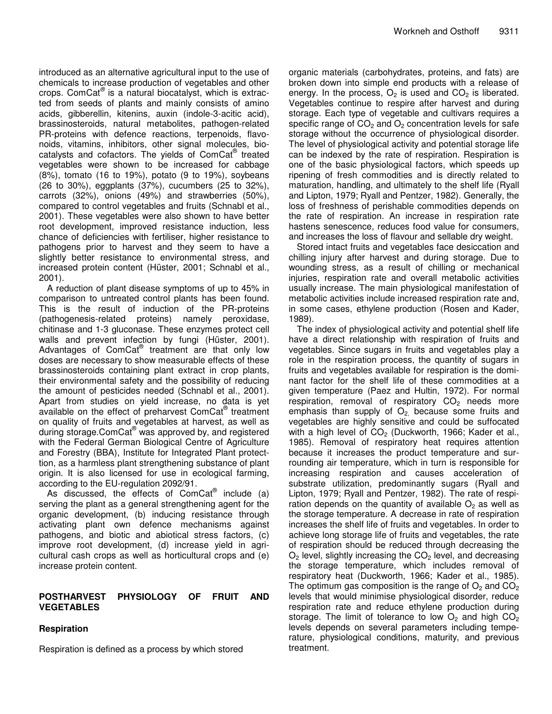introduced as an alternative agricultural input to the use of chemicals to increase production of vegetables and other crops. ComCat *®* is a natural biocatalyst, which is extracted from seeds of plants and mainly consists of amino acids, gibberellin, kitenins, auxin (indole-3-acitic acid), brassinosteroids, natural metabolites, pathogen-related PR-proteins with defence reactions, terpenoids, flavonoids, vitamins, inhibitors, other signal molecules, biocatalysts and cofactors. The yields of ComCat® treated vegetables were shown to be increased for cabbage (8%), tomato (16 to 19%), potato (9 to 19%), soybeans (26 to 30%), eggplants (37%), cucumbers (25 to 32%), carrots (32%), onions (49%) and strawberries (50%), compared to control vegetables and fruits (Schnabl et al., 2001). These vegetables were also shown to have better root development, improved resistance induction, less chance of deficiencies with fertiliser, higher resistance to pathogens prior to harvest and they seem to have a slightly better resistance to environmental stress, and increased protein content (Hüster, 2001; Schnabl et al., 2001).

A reduction of plant disease symptoms of up to 45% in comparison to untreated control plants has been found. This is the result of induction of the PR-proteins (pathogenesis-related proteins) namely peroxidase, chitinase and 1-3 gluconase. These enzymes protect cell walls and prevent infection by fungi (Hüster, 2001). Advantages of ComCat® treatment are that only low doses are necessary to show measurable effects of these brassinosteroids containing plant extract in crop plants, their environmental safety and the possibility of reducing the amount of pesticides needed (Schnabl et al., 2001). Apart from studies on yield increase, no data is yet available on the effect of preharvest ComCat® treatment on quality of fruits and vegetables at harvest, as well as during storage.ComCat® was approved by, and registered with the Federal German Biological Centre of Agriculture and Forestry (BBA), Institute for Integrated Plant protecttion, as a harmless plant strengthening substance of plant origin. It is also licensed for use in ecological farming, according to the EU-regulation 2092/91.

As discussed, the effects of  $ComCat^@$  include (a) serving the plant as a general strengthening agent for the organic development, (b) inducing resistance through activating plant own defence mechanisms against pathogens, and biotic and abiotical stress factors, (c) improve root development, (d) increase yield in agricultural cash crops as well as horticultural crops and (e) increase protein content.

#### **POSTHARVEST PHYSIOLOGY OF FRUIT AND VEGETABLES**

#### **Respiration**

Respiration is defined as a process by which stored

organic materials (carbohydrates, proteins, and fats) are broken down into simple end products with a release of energy. In the process,  $O_2$  is used and  $CO_2$  is liberated. Vegetables continue to respire after harvest and during storage. Each type of vegetable and cultivars requires a specific range of  $CO<sub>2</sub>$  and  $O<sub>2</sub>$  concentration levels for safe storage without the occurrence of physiological disorder. The level of physiological activity and potential storage life can be indexed by the rate of respiration. Respiration is one of the basic physiological factors, which speeds up ripening of fresh commodities and is directly related to maturation, handling, and ultimately to the shelf life (Ryall and Lipton, 1979; Ryall and Pentzer, 1982). Generally, the loss of freshness of perishable commodities depends on the rate of respiration. An increase in respiration rate hastens senescence, reduces food value for consumers, and increases the loss of flavour and sellable dry weight.

Stored intact fruits and vegetables face desiccation and chilling injury after harvest and during storage. Due to wounding stress, as a result of chilling or mechanical injuries, respiration rate and overall metabolic activities usually increase. The main physiological manifestation of metabolic activities include increased respiration rate and, in some cases, ethylene production (Rosen and Kader, 1989).

The index of physiological activity and potential shelf life have a direct relationship with respiration of fruits and vegetables. Since sugars in fruits and vegetables play a role in the respiration process, the quantity of sugars in fruits and vegetables available for respiration is the dominant factor for the shelf life of these commodities at a given temperature (Paez and Hultin, 1972). For normal respiration, removal of respiratory  $CO<sub>2</sub>$  needs more emphasis than supply of  $O<sub>2</sub>$  because some fruits and vegetables are highly sensitive and could be suffocated with a high level of  $CO<sub>2</sub>$  (Duckworth, 1966; Kader et al., 1985). Removal of respiratory heat requires attention because it increases the product temperature and surrounding air temperature, which in turn is responsible for increasing respiration and causes acceleration of substrate utilization, predominantly sugars (Ryall and Lipton, 1979; Ryall and Pentzer, 1982). The rate of respiration depends on the quantity of available  $O<sub>2</sub>$  as well as the storage temperature. A decrease in rate of respiration increases the shelf life of fruits and vegetables. In order to achieve long storage life of fruits and vegetables, the rate of respiration should be reduced through decreasing the  $O<sub>2</sub>$  level, slightly increasing the  $CO<sub>2</sub>$  level, and decreasing the storage temperature, which includes removal of respiratory heat (Duckworth, 1966; Kader et al., 1985). The optimum gas composition is the range of  $O<sub>2</sub>$  and  $CO<sub>2</sub>$ levels that would minimise physiological disorder, reduce respiration rate and reduce ethylene production during storage. The limit of tolerance to low  $O_2$  and high  $CO_2$ levels depends on several parameters including temperature, physiological conditions, maturity, and previous treatment.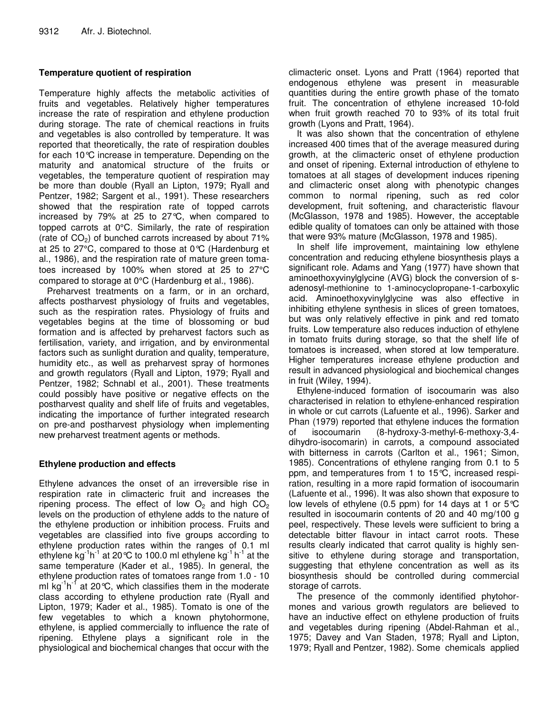#### **Temperature quotient of respiration**

Temperature highly affects the metabolic activities of fruits and vegetables. Relatively higher temperatures increase the rate of respiration and ethylene production during storage. The rate of chemical reactions in fruits and vegetables is also controlled by temperature. It was reported that theoretically, the rate of respiration doubles for each 10°C increase in temperature. Depending on the maturity and anatomical structure of the fruits or vegetables, the temperature quotient of respiration may be more than double (Ryall an Lipton, 1979; Ryall and Pentzer, 1982; Sargent et al., 1991). These researchers showed that the respiration rate of topped carrots increased by 79% at 25 to 27°C, when compared to topped carrots at 0°C. Similarly, the rate of respiration (rate of  $CO<sub>2</sub>$ ) of bunched carrots increased by about 71% at 25 to 27°C, compared to those at 0°C (Hardenburg et al., 1986), and the respiration rate of mature green tomatoes increased by 100% when stored at 25 to 27°C compared to storage at 0°C (Hardenburg et al., 1986).

Preharvest treatments on a farm, or in an orchard, affects postharvest physiology of fruits and vegetables, such as the respiration rates. Physiology of fruits and vegetables begins at the time of blossoming or bud formation and is affected by preharvest factors such as fertilisation, variety, and irrigation, and by environmental factors such as sunlight duration and quality, temperature, humidity etc., as well as preharvest spray of hormones and growth regulators (Ryall and Lipton, 1979; Ryall and Pentzer, 1982; Schnabl et al., 2001). These treatments could possibly have positive or negative effects on the postharvest quality and shelf life of fruits and vegetables, indicating the importance of further integrated research on pre-and postharvest physiology when implementing new preharvest treatment agents or methods.

#### **Ethylene production and effects**

Ethylene advances the onset of an irreversible rise in respiration rate in climacteric fruit and increases the ripening process. The effect of low  $O<sub>2</sub>$  and high  $CO<sub>2</sub>$ levels on the production of ethylene adds to the nature of the ethylene production or inhibition process. Fruits and vegetables are classified into five groups according to ethylene production rates within the ranges of 0.1 ml ethylene kg<sup>-1</sup>h<sup>-1</sup> at 20℃ to 100.0 ml ethylene kg<sup>-1</sup> h<sup>-1</sup> at the same temperature (Kader et al., 1985). In general, the ethylene production rates of tomatoes range from 1.0 - 10 ml kg<sup>-1</sup>h<sup>-1</sup> at 20°C, which classifies them in the moderate class according to ethylene production rate (Ryall and Lipton, 1979; Kader et al., 1985). Tomato is one of the few vegetables to which a known phytohormone, ethylene, is applied commercially to influence the rate of ripening. Ethylene plays a significant role in the physiological and biochemical changes that occur with the

climacteric onset. Lyons and Pratt (1964) reported that endogenous ethylene was present in measurable quantities during the entire growth phase of the tomato fruit. The concentration of ethylene increased 10-fold when fruit growth reached 70 to 93% of its total fruit growth (Lyons and Pratt, 1964).

It was also shown that the concentration of ethylene increased 400 times that of the average measured during growth, at the climacteric onset of ethylene production and onset of ripening. External introduction of ethylene to tomatoes at all stages of development induces ripening and climacteric onset along with phenotypic changes common to normal ripening, such as red color development, fruit softening, and characteristic flavour (McGlasson, 1978 and 1985). However, the acceptable edible quality of tomatoes can only be attained with those that were 93% mature (McGlasson, 1978 and 1985).

In shelf life improvement, maintaining low ethylene concentration and reducing ethylene biosynthesis plays a significant role. Adams and Yang (1977) have shown that aminoethoxyvinylglycine (AVG) block the conversion of sadenosyl-methionine to 1-aminocyclopropane-1-carboxylic acid. Aminoethoxyvinylglycine was also effective in inhibiting ethylene synthesis in slices of green tomatoes, but was only relatively effective in pink and red tomato fruits. Low temperature also reduces induction of ethylene in tomato fruits during storage, so that the shelf life of tomatoes is increased, when stored at low temperature. Higher temperatures increase ethylene production and result in advanced physiological and biochemical changes in fruit (Wiley, 1994).

Ethylene-induced formation of isocoumarin was also characterised in relation to ethylene-enhanced respiration in whole or cut carrots (Lafuente et al., 1996). Sarker and Phan (1979) reported that ethylene induces the formation of isocoumarin (8-hydroxy-3-methyl-6-methoxy-3,4 dihydro-isocomarin) in carrots, a compound associated with bitterness in carrots (Carlton et al., 1961; Simon, 1985). Concentrations of ethylene ranging from 0.1 to 5 ppm, and temperatures from 1 to 15°C, increased respiration, resulting in a more rapid formation of isocoumarin (Lafuente et al., 1996). It was also shown that exposure to low levels of ethylene (0.5 ppm) for 14 days at 1 or  $5^{\circ}$ C resulted in isocoumarin contents of 20 and 40 mg/100 g peel, respectively. These levels were sufficient to bring a detectable bitter flavour in intact carrot roots. These results clearly indicated that carrot quality is highly sensitive to ethylene during storage and transportation, suggesting that ethylene concentration as well as its biosynthesis should be controlled during commercial storage of carrots.

The presence of the commonly identified phytohormones and various growth regulators are believed to have an inductive effect on ethylene production of fruits and vegetables during ripening (Abdel-Rahman et al., 1975; Davey and Van Staden, 1978; Ryall and Lipton, 1979; Ryall and Pentzer, 1982). Some chemicals applied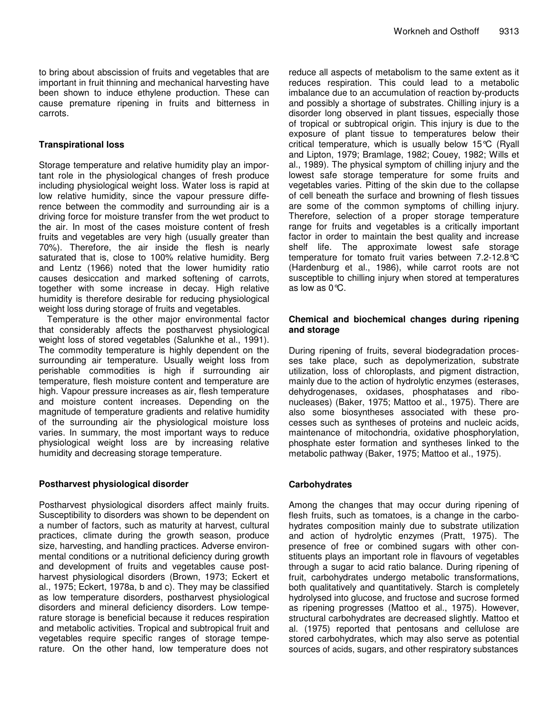to bring about abscission of fruits and vegetables that are important in fruit thinning and mechanical harvesting have been shown to induce ethylene production. These can cause premature ripening in fruits and bitterness in carrots.

#### **Transpirational loss**

Storage temperature and relative humidity play an important role in the physiological changes of fresh produce including physiological weight loss. Water loss is rapid at low relative humidity, since the vapour pressure difference between the commodity and surrounding air is a driving force for moisture transfer from the wet product to the air. In most of the cases moisture content of fresh fruits and vegetables are very high (usually greater than 70%). Therefore, the air inside the flesh is nearly saturated that is, close to 100% relative humidity. Berg and Lentz (1966) noted that the lower humidity ratio causes desiccation and marked softening of carrots, together with some increase in decay. High relative humidity is therefore desirable for reducing physiological weight loss during storage of fruits and vegetables.

Temperature is the other major environmental factor that considerably affects the postharvest physiological weight loss of stored vegetables (Salunkhe et al., 1991). The commodity temperature is highly dependent on the surrounding air temperature. Usually weight loss from perishable commodities is high if surrounding air temperature, flesh moisture content and temperature are high. Vapour pressure increases as air, flesh temperature and moisture content increases. Depending on the magnitude of temperature gradients and relative humidity of the surrounding air the physiological moisture loss varies. In summary, the most important ways to reduce physiological weight loss are by increasing relative humidity and decreasing storage temperature.

#### **Postharvest physiological disorder**

Postharvest physiological disorders affect mainly fruits. Susceptibility to disorders was shown to be dependent on a number of factors, such as maturity at harvest, cultural practices, climate during the growth season, produce size, harvesting, and handling practices. Adverse environmental conditions or a nutritional deficiency during growth and development of fruits and vegetables cause postharvest physiological disorders (Brown, 1973; Eckert et al., 1975; Eckert, 1978a, b and c). They may be classified as low temperature disorders, postharvest physiological disorders and mineral deficiency disorders. Low temperature storage is beneficial because it reduces respiration and metabolic activities. Tropical and subtropical fruit and vegetables require specific ranges of storage temperature. On the other hand, low temperature does not

reduce all aspects of metabolism to the same extent as it reduces respiration. This could lead to a metabolic imbalance due to an accumulation of reaction by-products and possibly a shortage of substrates. Chilling injury is a disorder long observed in plant tissues, especially those of tropical or subtropical origin. This injury is due to the exposure of plant tissue to temperatures below their critical temperature, which is usually below 15°C (Ryall and Lipton, 1979; Bramlage, 1982; Couey, 1982; Wills et al., 1989). The physical symptom of chilling injury and the lowest safe storage temperature for some fruits and vegetables varies. Pitting of the skin due to the collapse of cell beneath the surface and browning of flesh tissues are some of the common symptoms of chilling injury. Therefore, selection of a proper storage temperature range for fruits and vegetables is a critically important factor in order to maintain the best quality and increase shelf life. The approximate lowest safe storage temperature for tomato fruit varies between 7.2-12.8°C (Hardenburg et al., 1986), while carrot roots are not susceptible to chilling injury when stored at temperatures as low as 0°C.

#### **Chemical and biochemical changes during ripening and storage**

During ripening of fruits, several biodegradation processes take place, such as depolymerization, substrate utilization, loss of chloroplasts, and pigment distraction, mainly due to the action of hydrolytic enzymes (esterases, dehydrogenases, oxidases, phosphatases and ribonucleases) (Baker, 1975; Mattoo et al., 1975). There are also some biosyntheses associated with these processes such as syntheses of proteins and nucleic acids, maintenance of mitochondria, oxidative phosphorylation, phosphate ester formation and syntheses linked to the metabolic pathway (Baker, 1975; Mattoo et al., 1975).

#### **Carbohydrates**

Among the changes that may occur during ripening of flesh fruits, such as tomatoes, is a change in the carbohydrates composition mainly due to substrate utilization and action of hydrolytic enzymes (Pratt, 1975). The presence of free or combined sugars with other constituents plays an important role in flavours of vegetables through a sugar to acid ratio balance. During ripening of fruit, carbohydrates undergo metabolic transformations, both qualitatively and quantitatively. Starch is completely hydrolysed into glucose, and fructose and sucrose formed as ripening progresses (Mattoo et al., 1975). However, structural carbohydrates are decreased slightly. Mattoo et al. (1975) reported that pentosans and cellulose are stored carbohydrates, which may also serve as potential sources of acids, sugars, and other respiratory substances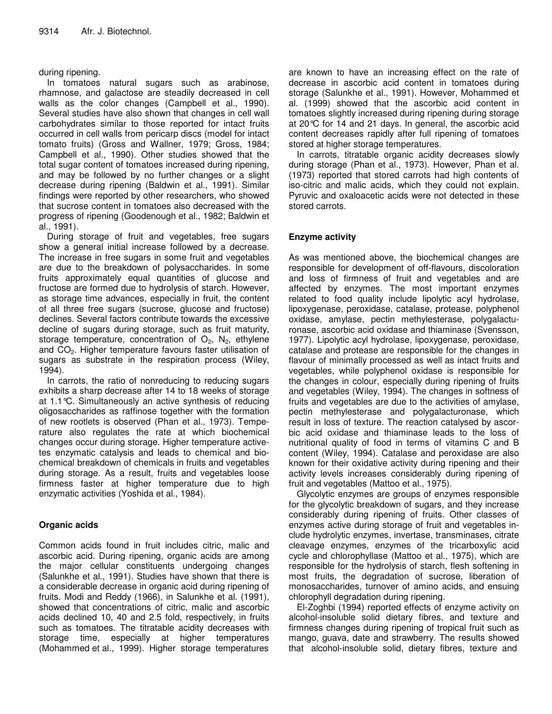#### during ripening.

In tomatoes natural sugars such as arabinose, rhamnose, and galactose are steadily decreased in cell walls as the color changes (Campbell et al., 1990). Several studies have also shown that changes in cell wall carbohydrates similar to those reported for intact fruits occurred in cell walls from pericarp discs (model for intact tomato fruits) (Gross and Wallner, 1979; Gross, 1984; Campbell et al., 1990). Other studies showed that the total sugar content of tomatoes increased during ripening, and may be followed by no further changes or a slight decrease during ripening (Baldwin et al., 1991). Similar findings were reported by other researchers, who showed that sucrose content in tomatoes also decreased with the progress of ripening (Goodenough et al., 1982; Baldwin et al., 1991).

During storage of fruit and vegetables, free sugars show a general initial increase followed by a decrease. The increase in free sugars in some fruit and vegetables are due to the breakdown of polysaccharides. In some fruits approximately equal quantities of glucose and fructose are formed due to hydrolysis of starch. However, as storage time advances, especially in fruit, the content of all three free sugars (sucrose, glucose and fructose) declines. Several factors contribute towards the excessive decline of sugars during storage, such as fruit maturity, storage temperature, concentration of  $O_2$ ,  $N_2$ , ethylene and CO<sub>2</sub>. Higher temperature favours faster utilisation of sugars as substrate in the respiration process (Wiley, 1994).

In carrots, the ratio of nonreducing to reducing sugars exhibits a sharp decrease after 14 to 18 weeks of storage at 1.1°C. Simultaneously an active synthesis of reducing oligosaccharides as raffinose together with the formation of new rootlets is observed (Phan et al., 1973). Temperature also regulates the rate at which biochemical changes occur during storage. Higher temperature activetes enzymatic catalysis and leads to chemical and biochemical breakdown of chemicals in fruits and vegetables during storage. As a result, fruits and vegetables loose firmness faster at higher temperature due to high enzymatic activities (Yoshida et al., 1984).

#### **Organic acids**

Common acids found in fruit includes citric, malic and ascorbic acid. During ripening, organic acids are among the major cellular constituents undergoing changes (Salunkhe et al., 1991). Studies have shown that there is a considerable decrease in organic acid during ripening of fruits. Modi and Reddy (1966), in Salunkhe et al. (1991), showed that concentrations of citric, malic and ascorbic acids declined 10, 40 and 2.5 fold, respectively, in fruits such as tomatoes. The titratable acidity decreases with storage time, especially at higher temperatures (Mohammed et al., 1999). Higher storage temperatures are known to have an increasing effect on the rate of decrease in ascorbic acid content in tomatoes during storage (Salunkhe et al., 1991). However, Mohammed et al. (1999) showed that the ascorbic acid content in tomatoes slightly increased during ripening during storage at 20°C for 14 and 21 days. In general, the ascorbic acid content decreases rapidly after full ripening of tomatoes stored at higher storage temperatures.

In carrots, titratable organic acidity decreases slowly during storage (Phan et al., 1973). However, Phan et al. (1973) reported that stored carrots had high contents of iso-citric and malic acids, which they could not explain. Pyruvic and oxaloacetic acids were not detected in these stored carrots.

#### **Enzyme activity**

As was mentioned above, the biochemical changes are responsible for development of off-flavours, discoloration and loss of firmness of fruit and vegetables and are affected by enzymes. The most important enzymes related to food quality include lipolytic acyl hydrolase, lipoxygenase, peroxidase, catalase, protease, polyphenol oxidase, amylase, pectin methylesterase, polygalacturonase, ascorbic acid oxidase and thiaminase (Svensson, 1977). Lipolytic acyl hydrolase, lipoxygenase, peroxidase, catalase and protease are responsible for the changes in flavour of minimally processed as well as intact fruits and vegetables, while polyphenol oxidase is responsible for the changes in colour, especially during ripening of fruits and vegetables (Wiley, 1994). The changes in softness of fruits and vegetables are due to the activities of amylase, pectin methylesterase and polygalacturonase, which result in loss of texture. The reaction catalysed by ascorbic acid oxidase and thiaminase leads to the loss of nutritional quality of food in terms of vitamins C and B content (Wiley, 1994). Catalase and peroxidase are also known for their oxidative activity during ripening and their activity levels increases considerably during ripening of fruit and vegetables (Mattoo et al., 1975).

Glycolytic enzymes are groups of enzymes responsible for the glycolytic breakdown of sugars, and they increase considerably during ripening of fruits. Other classes of enzymes active during storage of fruit and vegetables include hydrolytic enzymes, invertase, transminases, citrate cleavage enzymes, enzymes of the tricarboxylic acid cycle and chlorophyllase (Mattoo et al., 1975), which are responsible for the hydrolysis of starch, flesh softening in most fruits, the degradation of sucrose, liberation of monosaccharides, turnover of amino acids, and ensuing chlorophyll degradation during ripening.

El-Zoghbi (1994) reported effects of enzyme activity on alcohol-insoluble solid dietary fibres, and texture and firmness changes during ripening of tropical fruit such as mango, guava, date and strawberry. The results showed that alcohol-insoluble solid, dietary fibres, texture and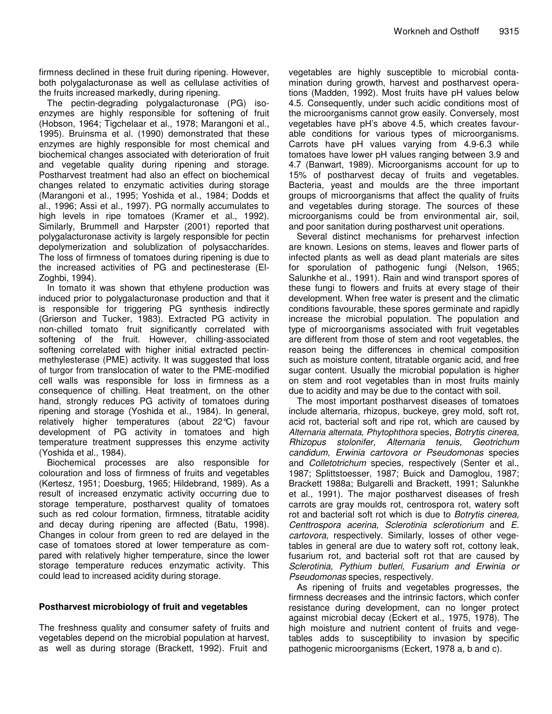firmness declined in these fruit during ripening. However, both polygalacturonase as well as cellulase activities of the fruits increased markedly, during ripening.

The pectin-degrading polygalacturonase (PG) isoenzymes are highly responsible for softening of fruit (Hobson, 1964; Tigchelaar et al., 1978; Marangoni et al., 1995). Bruinsma et al. (1990) demonstrated that these enzymes are highly responsible for most chemical and biochemical changes associated with deterioration of fruit and vegetable quality during ripening and storage. Postharvest treatment had also an effect on biochemical changes related to enzymatic activities during storage (Marangoni et al., 1995; Yoshida et al., 1984; Dodds et al., 1996; Assi et al., 1997). PG normally accumulates to high levels in ripe tomatoes (Kramer et al., 1992). Similarly, Brummell and Harpster (2001) reported that polygalacturonase activity is largely responsible for pectin depolymerization and solublization of polysaccharides. The loss of firmness of tomatoes during ripening is due to the increased activities of PG and pectinesterase (El-Zoghbi, 1994).

In tomato it was shown that ethylene production was induced prior to polygalacturonase production and that it is responsible for triggering PG synthesis indirectly (Grierson and Tucker, 1983). Extracted PG activity in non-chilled tomato fruit significantly correlated with softening of the fruit. However, chilling-associated softening correlated with higher initial extracted pectinmethylesterase (PME) activity. It was suggested that loss of turgor from translocation of water to the PME-modified cell walls was responsible for loss in firmness as a consequence of chilling. Heat treatment, on the other hand, strongly reduces PG activity of tomatoes during ripening and storage (Yoshida et al., 1984). In general, relatively higher temperatures (about 22°C) favour development of PG activity in tomatoes and high temperature treatment suppresses this enzyme activity (Yoshida et al., 1984).

Biochemical processes are also responsible for colouration and loss of firmness of fruits and vegetables (Kertesz, 1951; Doesburg, 1965; Hildebrand, 1989). As a result of increased enzymatic activity occurring due to storage temperature, postharvest quality of tomatoes such as red colour formation, firmness, titratable acidity and decay during ripening are affected (Batu, 1998). Changes in colour from green to red are delayed in the case of tomatoes stored at lower temperature as compared with relatively higher temperature, since the lower storage temperature reduces enzymatic activity. This could lead to increased acidity during storage.

#### **Postharvest microbiology of fruit and vegetables**

The freshness quality and consumer safety of fruits and vegetables depend on the microbial population at harvest, as well as during storage (Brackett, 1992). Fruit and

vegetables are highly susceptible to microbial contamination during growth, harvest and postharvest operations (Madden, 1992). Most fruits have pH values below 4.5. Consequently, under such acidic conditions most of the microorganisms cannot grow easily. Conversely, most vegetables have pH's above 4.5, which creates favourable conditions for various types of microorganisms. Carrots have pH values varying from 4.9-6.3 while tomatoes have lower pH values ranging between 3.9 and 4.7 (Banwart, 1989). Microorganisms account for up to 15% of postharvest decay of fruits and vegetables. Bacteria, yeast and moulds are the three important groups of microorganisms that affect the quality of fruits and vegetables during storage. The sources of these microorganisms could be from environmental air, soil, and poor sanitation during postharvest unit operations.

Several distinct mechanisms for preharvest infection are known. Lesions on stems, leaves and flower parts of infected plants as well as dead plant materials are sites for sporulation of pathogenic fungi (Nelson, 1965; Salunkhe et al., 1991). Rain and wind transport spores of these fungi to flowers and fruits at every stage of their development. When free water is present and the climatic conditions favourable, these spores germinate and rapidly increase the microbial population. The population and type of microorganisms associated with fruit vegetables are different from those of stem and root vegetables, the reason being the differences in chemical composition such as moisture content, titratable organic acid, and free sugar content. Usually the microbial population is higher on stem and root vegetables than in most fruits mainly due to acidity and may be due to the contact with soil.

The most important postharvest diseases of tomatoes include alternaria, rhizopus, buckeye, grey mold, soft rot, acid rot, bacterial soft and ripe rot, which are caused by *Alternaria alternata, Phytophthora* species, *Botrytis cinerea, Rhizopus stolonifer, Alternaria tenuis, Geotrichum candidum, Erwinia cartovora or Pseudomonas* species and *Colletotrichum* species, respectively (Senter et al., 1987; Splittstoesser, 1987; Buick and Damoglou, 1987; Brackett 1988a; Bulgarelli and Brackett, 1991; Salunkhe et al., 1991). The major postharvest diseases of fresh carrots are gray moulds rot, centrospora rot, watery soft rot and bacterial soft rot which is due to *Botrytis cinerea, Centtrospora acerina, Sclerotinia sclerotiorium* and *E. cartovora,* respectively. Similarly, losses of other vegetables in general are due to watery soft rot, cottony leak, fusarium rot, and bacterial soft rot that are caused by *Sclerotinia, Pythium butleri, Fusarium and Erwinia or Pseudomonas* species, respectively.

As ripening of fruits and vegetables progresses, the firmness decreases and the intrinsic factors, which confer resistance during development, can no longer protect against microbial decay (Eckert et al., 1975, 1978). The high moisture and nutrient content of fruits and vegetables adds to susceptibility to invasion by specific pathogenic microorganisms (Eckert, 1978 a, b and c).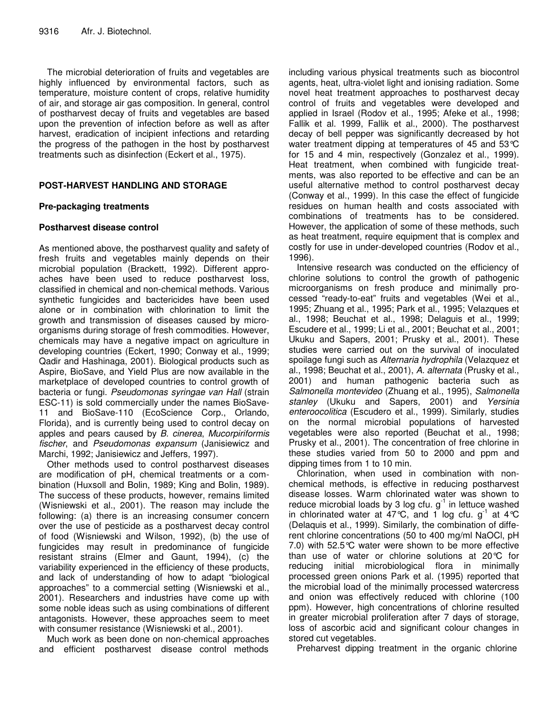The microbial deterioration of fruits and vegetables are highly influenced by environmental factors, such as temperature, moisture content of crops, relative humidity of air, and storage air gas composition. In general, control of postharvest decay of fruits and vegetables are based upon the prevention of infection before as well as after harvest, eradication of incipient infections and retarding the progress of the pathogen in the host by postharvest treatments such as disinfection (Eckert et al., 1975).

#### **POST-HARVEST HANDLING AND STORAGE**

#### **Pre-packaging treatments**

#### **Postharvest disease control**

As mentioned above, the postharvest quality and safety of fresh fruits and vegetables mainly depends on their microbial population (Brackett, 1992). Different approaches have been used to reduce postharvest loss, classified in chemical and non-chemical methods. Various synthetic fungicides and bactericides have been used alone or in combination with chlorination to limit the growth and transmission of diseases caused by microorganisms during storage of fresh commodities. However, chemicals may have a negative impact on agriculture in developing countries (Eckert, 1990; Conway et al., 1999; Qadir and Hashinaga, 2001). Biological products such as Aspire, BioSave, and Yield Plus are now available in the marketplace of developed countries to control growth of bacteria or fungi. *Pseudomonas syringae van Hall* (strain ESC-11) is sold commercially under the names BioSave-11 and BioSave-110 (EcoScience Corp., Orlando, Florida), and is currently being used to control decay on apples and pears caused by *B. cinerea*, *Mucorpiriformis fischer*, and *Pseudomonas expansum* (Janisiewicz and Marchi, 1992; Janisiewicz and Jeffers, 1997).

Other methods used to control postharvest diseases are modification of pH, chemical treatments or a combination (Huxsoll and Bolin, 1989; King and Bolin, 1989). The success of these products, however, remains limited (Wisniewski et al., 2001). The reason may include the following: (a) there is an increasing consumer concern over the use of pesticide as a postharvest decay control of food (Wisniewski and Wilson, 1992), (b) the use of fungicides may result in predominance of fungicide resistant strains (Elmer and Gaunt, 1994), (c) the variability experienced in the efficiency of these products, and lack of understanding of how to adapt "biological approaches" to a commercial setting (Wisniewski et al., 2001). Researchers and industries have come up with some noble ideas such as using combinations of different antagonists. However, these approaches seem to meet with consumer resistance (Wisniewski et al., 2001).

Much work as been done on non-chemical approaches and efficient postharvest disease control methods including various physical treatments such as biocontrol agents, heat, ultra-violet light and ionising radiation. Some novel heat treatment approaches to postharvest decay control of fruits and vegetables were developed and applied in Israel (Rodov et al., 1995; Afeke et al., 1998; Fallik et al. 1999, Fallik et al., 2000). The postharvest decay of bell pepper was significantly decreased by hot water treatment dipping at temperatures of 45 and 53°C for 15 and 4 min, respectively (Gonzalez et al., 1999). Heat treatment, when combined with fungicide treatments, was also reported to be effective and can be an useful alternative method to control postharvest decay (Conway et al., 1999). In this case the effect of fungicide residues on human health and costs associated with combinations of treatments has to be considered. However, the application of some of these methods, such as heat treatment, require equipment that is complex and costly for use in under-developed countries (Rodov et al., 1996).

Intensive research was conducted on the efficiency of chlorine solutions to control the growth of pathogenic microorganisms on fresh produce and minimally processed "ready-to-eat" fruits and vegetables (Wei et al., 1995; Zhuang et al., 1995; Park et al., 1995; Velazques et al., 1998; Beuchat et al., 1998; Delaguis et al., 1999; Escudere et al., 1999; Li et al., 2001; Beuchat et al., 2001; Ukuku and Sapers, 2001; Prusky et al., 2001). These studies were carried out on the survival of inoculated spoilage fungi such as *Alternaria hydrophila* (Velazquez et al., 1998; Beuchat et al., 2001), *A. alternata* (Prusky et al., 2001) and human pathogenic bacteria such as *Salmonella montevideo* (Zhuang et al., 1995), *Salmonella stanley* (Ukuku and Sapers, 2001) and *Yersinia enteroocolitica* (Escudero et al., 1999). Similarly, studies on the normal microbial populations of harvested vegetables were also reported (Beuchat et al., 1998; Prusky et al., 2001). The concentration of free chlorine in these studies varied from 50 to 2000 and ppm and dipping times from 1 to 10 min.

Chlorination, when used in combination with nonchemical methods, is effective in reducing postharvest disease losses. Warm chlorinated water was shown to reduce microbial loads by 3 log cfu.  $g^{-1}$  in lettuce washed in chlorinated water at  $47^{\circ}$ C, and 1 log cfu. g<sup>-1</sup> at 4 $^{\circ}$ C (Delaquis et al., 1999). Similarly, the combination of different chlorine concentrations (50 to 400 mg/ml NaOCl, pH 7.0) with 52.5°C water were shown to be more effective than use of water or chlorine solutions at 20°C for reducing initial microbiological flora in minimally processed green onions Park et al. (1995) reported that the microbial load of the minimally processed watercress and onion was effectively reduced with chlorine (100 ppm). However, high concentrations of chlorine resulted in greater microbial proliferation after 7 days of storage, loss of ascorbic acid and significant colour changes in stored cut vegetables.

Preharvest dipping treatment in the organic chlorine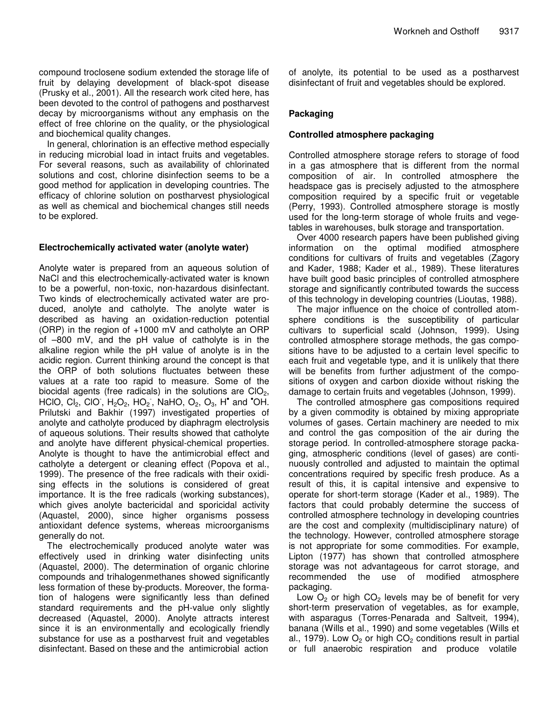compound troclosene sodium extended the storage life of fruit by delaying development of black-spot disease (Prusky et al., 2001). All the research work cited here, has been devoted to the control of pathogens and postharvest decay by microorganisms without any emphasis on the effect of free chlorine on the quality, or the physiological and biochemical quality changes.

In general, chlorination is an effective method especially in reducing microbial load in intact fruits and vegetables. For several reasons, such as availability of chlorinated solutions and cost, chlorine disinfection seems to be a good method for application in developing countries. The efficacy of chlorine solution on postharvest physiological as well as chemical and biochemical changes still needs to be explored.

#### **Electrochemically activated water (anolyte water)**

Anolyte water is prepared from an aqueous solution of NaCl and this electrochemically-activated water is known to be a powerful, non-toxic, non-hazardous disinfectant. Two kinds of electrochemically activated water are produced, anolyte and catholyte. The anolyte water is described as having an oxidation-reduction potential (ORP) in the region of +1000 mV and catholyte an ORP of –800 mV, and the pH value of catholyte is in the alkaline region while the pH value of anolyte is in the acidic region. Current thinking around the concept is that the ORP of both solutions fluctuates between these values at a rate too rapid to measure. Some of the biocidal agents (free radicals) in the solutions are  $ClO<sub>2</sub>$ , HCIO, Cl<sub>2</sub>, CIO,  $H_2O_2$ , HO<sub>2</sub>, NaHO, O<sub>2</sub>, O<sub>3</sub>, H<sup>o</sup> and <sup>\*</sup>OH. Prilutski and Bakhir (1997) investigated properties of anolyte and catholyte produced by diaphragm electrolysis of aqueous solutions. Their results showed that catholyte and anolyte have different physical-chemical properties. Anolyte is thought to have the antimicrobial effect and catholyte a detergent or cleaning effect (Popova et al., 1999). The presence of the free radicals with their oxidising effects in the solutions is considered of great importance. It is the free radicals (working substances), which gives anolyte bactericidal and sporicidal activity (Aquastel, 2000), since higher organisms possess antioxidant defence systems, whereas microorganisms generally do not.

The electrochemically produced anolyte water was effectively used in drinking water disinfecting units (Aquastel, 2000). The determination of organic chlorine compounds and trihalogenmethanes showed significantly less formation of these by-products. Moreover, the formation of halogens were significantly less than defined standard requirements and the pH-value only slightly decreased (Aquastel, 2000). Anolyte attracts interest since it is an environmentally and ecologically friendly substance for use as a postharvest fruit and vegetables disinfectant. Based on these and the antimicrobial action

of anolyte, its potential to be used as a postharvest disinfectant of fruit and vegetables should be explored.

#### **Packaging**

#### **Controlled atmosphere packaging**

Controlled atmosphere storage refers to storage of food in a gas atmosphere that is different from the normal composition of air. In controlled atmosphere the headspace gas is precisely adjusted to the atmosphere composition required by a specific fruit or vegetable (Perry, 1993). Controlled atmosphere storage is mostly used for the long-term storage of whole fruits and vegetables in warehouses, bulk storage and transportation.

Over 4000 research papers have been published giving information on the optimal modified atmosphere conditions for cultivars of fruits and vegetables (Zagory and Kader, 1988; Kader et al., 1989). These literatures have built good basic principles of controlled atmosphere storage and significantly contributed towards the success of this technology in developing countries (Lioutas, 1988).

The major influence on the choice of controlled atomsphere conditions is the susceptibility of particular cultivars to superficial scald (Johnson, 1999). Using controlled atmosphere storage methods, the gas compositions have to be adjusted to a certain level specific to each fruit and vegetable type, and it is unlikely that there will be benefits from further adjustment of the compositions of oxygen and carbon dioxide without risking the damage to certain fruits and vegetables (Johnson, 1999).

The controlled atmosphere gas compositions required by a given commodity is obtained by mixing appropriate volumes of gases. Certain machinery are needed to mix and control the gas composition of the air during the storage period. In controlled-atmosphere storage packaging, atmospheric conditions (level of gases) are continuously controlled and adjusted to maintain the optimal concentrations required by specific fresh produce. As a result of this, it is capital intensive and expensive to operate for short-term storage (Kader et al., 1989). The factors that could probably determine the success of controlled atmosphere technology in developing countries are the cost and complexity (multidisciplinary nature) of the technology. However, controlled atmosphere storage is not appropriate for some commodities. For example, Lipton (1977) has shown that controlled atmosphere storage was not advantageous for carrot storage, and recommended the use of modified atmosphere packaging.

Low  $O<sub>2</sub>$  or high  $CO<sub>2</sub>$  levels may be of benefit for very short-term preservation of vegetables, as for example, with asparagus (Torres-Penarada and Saltveit, 1994), banana (Wills et al., 1990) and some vegetables (Wills et al., 1979). Low  $O_2$  or high  $CO_2$  conditions result in partial or full anaerobic respiration and produce volatile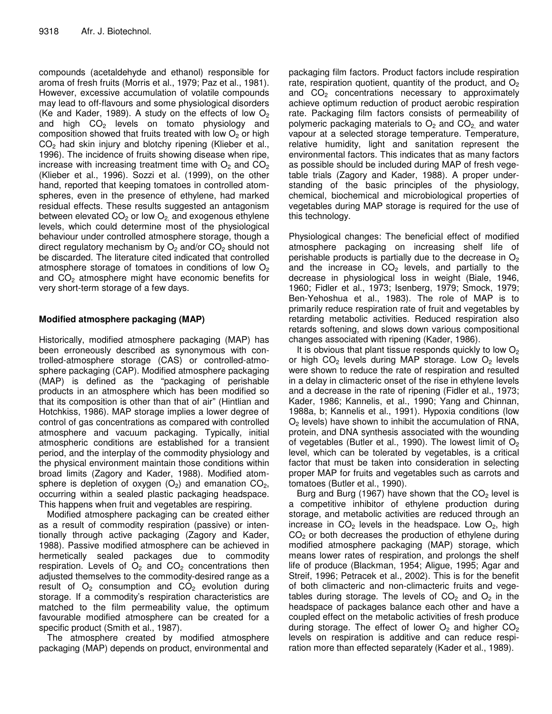compounds (acetaldehyde and ethanol) responsible for aroma of fresh fruits (Morris et al., 1979; Paz et al., 1981). However, excessive accumulation of volatile compounds may lead to off-flavours and some physiological disorders (Ke and Kader, 1989). A study on the effects of low  $O_2$ and high  $CO<sub>2</sub>$  levels on tomato physiology and composition showed that fruits treated with low  $O<sub>2</sub>$  or high CO<sub>2</sub> had skin injury and blotchy ripening (Klieber et al., 1996). The incidence of fruits showing disease when ripe, increase with increasing treatment time with  $O_2$  and  $CO_2$ (Klieber et al., 1996). Sozzi et al. (1999), on the other hand, reported that keeping tomatoes in controlled atomspheres, even in the presence of ethylene, had marked residual effects. These results suggested an antagonism between elevated  $CO<sub>2</sub>$  or low  $O<sub>2</sub>$  and exogenous ethylene levels, which could determine most of the physiological behaviour under controlled atmosphere storage, though a direct regulatory mechanism by  $O_2$  and/or  $CO_2$  should not be discarded. The literature cited indicated that controlled atmosphere storage of tomatoes in conditions of low  $O<sub>2</sub>$ and  $CO<sub>2</sub>$  atmosphere might have economic benefits for very short-term storage of a few days.

#### **Modified atmosphere packaging (MAP)**

Historically, modified atmosphere packaging (MAP) has been erroneously described as synonymous with controlled-atmosphere storage (CAS) or controlled-atmosphere packaging (CAP). Modified atmosphere packaging (MAP) is defined as the "packaging of perishable products in an atmosphere which has been modified so that its composition is other than that of air" (Hintlian and Hotchkiss, 1986). MAP storage implies a lower degree of control of gas concentrations as compared with controlled atmosphere and vacuum packaging. Typically, initial atmospheric conditions are established for a transient period, and the interplay of the commodity physiology and the physical environment maintain those conditions within broad limits (Zagory and Kader, 1988). Modified atomsphere is depletion of oxygen  $(O_2)$  and emanation  $CO_2$ , occurring within a sealed plastic packaging headspace. This happens when fruit and vegetables are respiring.

Modified atmosphere packaging can be created either as a result of commodity respiration (passive) or intentionally through active packaging (Zagory and Kader, 1988). Passive modified atmosphere can be achieved in hermetically sealed packages due to commodity respiration. Levels of  $O<sub>2</sub>$  and  $CO<sub>2</sub>$  concentrations then adjusted themselves to the commodity-desired range as a result of  $O_2$  consumption and  $CO_2$  evolution during storage. If a commodity's respiration characteristics are matched to the film permeability value, the optimum favourable modified atmosphere can be created for a specific product (Smith et al., 1987).

The atmosphere created by modified atmosphere packaging (MAP) depends on product, environmental and

packaging film factors. Product factors include respiration rate, respiration quotient, quantity of the product, and  $O<sub>2</sub>$ and  $CO<sub>2</sub>$  concentrations necessary to approximately achieve optimum reduction of product aerobic respiration rate. Packaging film factors consists of permeability of polymeric packaging materials to  $O_2$  and  $CO_2$  and water vapour at a selected storage temperature. Temperature, relative humidity, light and sanitation represent the environmental factors. This indicates that as many factors as possible should be included during MAP of fresh vegetable trials (Zagory and Kader, 1988). A proper understanding of the basic principles of the physiology, chemical, biochemical and microbiological properties of vegetables during MAP storage is required for the use of this technology.

Physiological changes: The beneficial effect of modified atmosphere packaging on increasing shelf life of perishable products is partially due to the decrease in  $O<sub>2</sub>$ and the increase in  $CO<sub>2</sub>$  levels, and partially to the decrease in physiological loss in weight (Biale, 1946, 1960; Fidler et al., 1973; Isenberg, 1979; Smock, 1979; Ben-Yehoshua et al., 1983). The role of MAP is to primarily reduce respiration rate of fruit and vegetables by retarding metabolic activities. Reduced respiration also retards softening, and slows down various compositional changes associated with ripening (Kader, 1986).

It is obvious that plant tissue responds quickly to low  $O<sub>2</sub>$ or high  $CO<sub>2</sub>$  levels during MAP storage. Low  $O<sub>2</sub>$  levels were shown to reduce the rate of respiration and resulted in a delay in climacteric onset of the rise in ethylene levels and a decrease in the rate of ripening (Fidler et al., 1973; Kader, 1986; Kannelis, et al., 1990; Yang and Chinnan, 1988a, b; Kannelis et al., 1991). Hypoxia conditions (low  $O<sub>2</sub>$  levels) have shown to inhibit the accumulation of RNA, protein, and DNA synthesis associated with the wounding of vegetables (Butler et al., 1990). The lowest limit of  $O<sub>2</sub>$ level, which can be tolerated by vegetables, is a critical factor that must be taken into consideration in selecting proper MAP for fruits and vegetables such as carrots and tomatoes (Butler et al., 1990).

Burg and Burg (1967) have shown that the  $CO<sub>2</sub>$  level is a competitive inhibitor of ethylene production during storage, and metabolic activities are reduced through an increase in  $CO<sub>2</sub>$  levels in the headspace. Low  $O<sub>2</sub>$ , high  $CO<sub>2</sub>$  or both decreases the production of ethylene during modified atmosphere packaging (MAP) storage, which means lower rates of respiration, and prolongs the shelf life of produce (Blackman, 1954; Aligue, 1995; Agar and Streif, 1996; Petracek et al., 2002). This is for the benefit of both climacteric and non-climacteric fruits and vegetables during storage. The levels of  $CO<sub>2</sub>$  and  $O<sub>2</sub>$  in the headspace of packages balance each other and have a coupled effect on the metabolic activities of fresh produce during storage. The effect of lower  $O_2$  and higher  $CO_2$ levels on respiration is additive and can reduce respiration more than effected separately (Kader et al., 1989).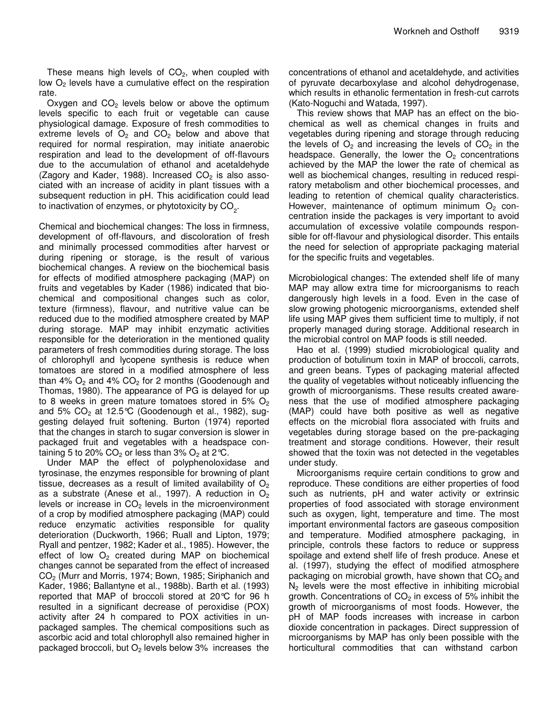These means high levels of  $CO<sub>2</sub>$ , when coupled with low  $O<sub>2</sub>$  levels have a cumulative effect on the respiration rate.

Oxygen and  $CO<sub>2</sub>$  levels below or above the optimum levels specific to each fruit or vegetable can cause physiological damage. Exposure of fresh commodities to extreme levels of  $O_2$  and  $CO_2$  below and above that required for normal respiration, may initiate anaerobic respiration and lead to the development of off-flavours due to the accumulation of ethanol and acetaldehyde (Zagory and Kader, 1988). Increased  $CO<sub>2</sub>$  is also associated with an increase of acidity in plant tissues with a subsequent reduction in pH. This acidification could lead to inactivation of enzymes, or phytotoxicity by CO<sub>2</sub>.

Chemical and biochemical changes: The loss in firmness, development of off-flavours, and discoloration of fresh and minimally processed commodities after harvest or during ripening or storage, is the result of various biochemical changes. A review on the biochemical basis for effects of modified atmosphere packaging (MAP) on fruits and vegetables by Kader (1986) indicated that biochemical and compositional changes such as color, texture (firmness), flavour, and nutritive value can be reduced due to the modified atmosphere created by MAP during storage. MAP may inhibit enzymatic activities responsible for the deterioration in the mentioned quality parameters of fresh commodities during storage. The loss of chlorophyll and lycopene synthesis is reduce when tomatoes are stored in a modified atmosphere of less than  $4\%$  O<sub>2</sub> and  $4\%$  CO<sub>2</sub> for 2 months (Goodenough and Thomas, 1980). The appearance of PG is delayed for up to 8 weeks in green mature tomatoes stored in 5%  $O<sub>2</sub>$ and 5%  $CO<sub>2</sub>$  at 12.5°C (Goodenough et al., 1982), suggesting delayed fruit softening. Burton (1974) reported that the changes in starch to sugar conversion is slower in packaged fruit and vegetables with a headspace containing 5 to 20%  $CO<sub>2</sub>$  or less than 3%  $O<sub>2</sub>$  at 2°C.

Under MAP the effect of polyphenoloxidase and tyrosinase, the enzymes responsible for browning of plant tissue, decreases as a result of limited availability of  $O<sub>2</sub>$ as a substrate (Anese et al., 1997). A reduction in  $O_2$ levels or increase in  $CO<sub>2</sub>$  levels in the microenvironment of a crop by modified atmosphere packaging (MAP) could reduce enzymatic activities responsible for quality deterioration (Duckworth, 1966; Ruall and Lipton, 1979; Ryall and pentzer, 1982; Kader et al., 1985). However, the effect of low  $O<sub>2</sub>$  created during MAP on biochemical changes cannot be separated from the effect of increased CO<sup>2</sup> (Murr and Morris, 1974; Bown, 1985; Siriphanich and Kader, 1986; Ballantyne et al., 1988b). Barth et al. (1993) reported that MAP of broccoli stored at 20°C for 96 h resulted in a significant decrease of peroxidise (POX) activity after 24 h compared to POX activities in unpackaged samples. The chemical compositions such as ascorbic acid and total chlorophyll also remained higher in packaged broccoli, but  $O<sub>2</sub>$  levels below 3% increases the

concentrations of ethanol and acetaldehyde, and activities of pyruvate decarboxylase and alcohol dehydrogenase, which results in ethanolic fermentation in fresh-cut carrots (Kato-Noguchi and Watada, 1997).

This review shows that MAP has an effect on the biochemical as well as chemical changes in fruits and vegetables during ripening and storage through reducing the levels of  $O_2$  and increasing the levels of  $CO_2$  in the headspace. Generally, the lower the  $O<sub>2</sub>$  concentrations achieved by the MAP the lower the rate of chemical as well as biochemical changes, resulting in reduced respiratory metabolism and other biochemical processes, and leading to retention of chemical quality characteristics. However, maintenance of optimum minimum  $O<sub>2</sub>$  concentration inside the packages is very important to avoid accumulation of excessive volatile compounds responsible for off-flavour and physiological disorder. This entails the need for selection of appropriate packaging material for the specific fruits and vegetables.

Microbiological changes: The extended shelf life of many MAP may allow extra time for microorganisms to reach dangerously high levels in a food. Even in the case of slow growing photogenic microorganisms, extended shelf life using MAP gives them sufficient time to multiply, if not properly managed during storage. Additional research in the microbial control on MAP foods is still needed.

Hao et al. (1999) studied microbiological quality and production of botulinum toxin in MAP of broccoli, carrots, and green beans. Types of packaging material affected the quality of vegetables without noticeably influencing the growth of microorganisms. These results created awareness that the use of modified atmosphere packaging (MAP) could have both positive as well as negative effects on the microbial flora associated with fruits and vegetables during storage based on the pre-packaging treatment and storage conditions. However, their result showed that the toxin was not detected in the vegetables under study.

Microorganisms require certain conditions to grow and reproduce. These conditions are either properties of food such as nutrients, pH and water activity or extrinsic properties of food associated with storage environment such as oxygen, light, temperature and time. The most important environmental factors are gaseous composition and temperature. Modified atmosphere packaging, in principle, controls these factors to reduce or suppress spoilage and extend shelf life of fresh produce. Anese et al. (1997), studying the effect of modified atmosphere packaging on microbial growth, have shown that CO<sub>2</sub> and  $N<sub>2</sub>$  levels were the most effective in inhibiting microbial growth. Concentrations of  $CO<sub>2</sub>$  in excess of 5% inhibit the growth of microorganisms of most foods. However, the pH of MAP foods increases with increase in carbon dioxide concentration in packages. Direct suppression of microorganisms by MAP has only been possible with the horticultural commodities that can withstand carbon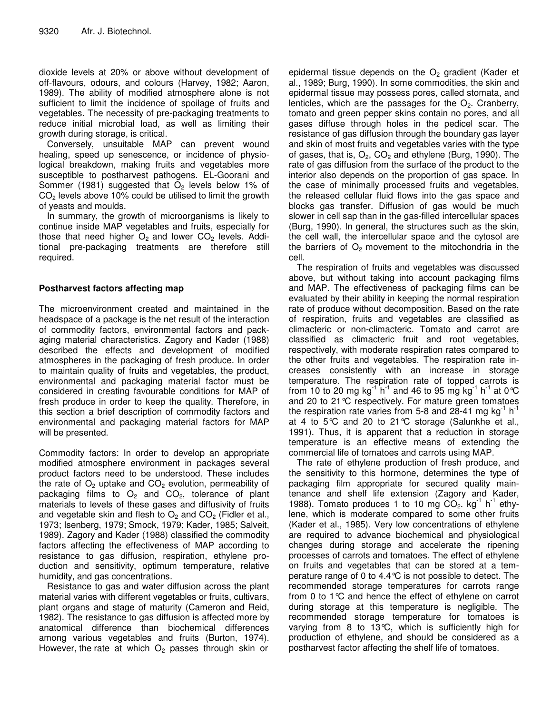dioxide levels at 20% or above without development of off-flavours, odours, and colours (Harvey, 1982; Aaron, 1989). The ability of modified atmosphere alone is not sufficient to limit the incidence of spoilage of fruits and vegetables. The necessity of pre-packaging treatments to reduce initial microbial load, as well as limiting their growth during storage, is critical.

Conversely, unsuitable MAP can prevent wound healing, speed up senescence, or incidence of physiological breakdown, making fruits and vegetables more susceptible to postharvest pathogens. EL-Goorani and Sommer (1981) suggested that  $O<sub>2</sub>$  levels below 1% of  $CO<sub>2</sub>$  levels above 10% could be utilised to limit the growth of yeasts and moulds.

In summary, the growth of microorganisms is likely to continue inside MAP vegetables and fruits, especially for those that need higher  $O_2$  and lower  $CO_2$  levels. Additional pre-packaging treatments are therefore still required.

#### **Postharvest factors affecting map**

The microenvironment created and maintained in the headspace of a package is the net result of the interaction of commodity factors, environmental factors and packaging material characteristics. Zagory and Kader (1988) described the effects and development of modified atmospheres in the packaging of fresh produce. In order to maintain quality of fruits and vegetables, the product, environmental and packaging material factor must be considered in creating favourable conditions for MAP of fresh produce in order to keep the quality. Therefore, in this section a brief description of commodity factors and environmental and packaging material factors for MAP will be presented.

Commodity factors: In order to develop an appropriate modified atmosphere environment in packages several product factors need to be understood. These includes the rate of  $O<sub>2</sub>$  uptake and  $CO<sub>2</sub>$  evolution, permeability of packaging films to  $O_2$  and  $CO_2$ , tolerance of plant materials to levels of these gases and diffusivity of fruits and vegetable skin and flesh to  $O_2$  and  $CO_2$  (Fidler et al., 1973; Isenberg, 1979; Smock, 1979; Kader, 1985; Salveit, 1989). Zagory and Kader (1988) classified the commodity factors affecting the effectiveness of MAP according to resistance to gas diffusion, respiration, ethylene production and sensitivity, optimum temperature, relative humidity, and gas concentrations.

Resistance to gas and water diffusion across the plant material varies with different vegetables or fruits, cultivars, plant organs and stage of maturity (Cameron and Reid, 1982). The resistance to gas diffusion is affected more by anatomical difference than biochemical differences among various vegetables and fruits (Burton, 1974). However, the rate at which  $O<sub>2</sub>$  passes through skin or

epidermal tissue depends on the  $O<sub>2</sub>$  gradient (Kader et al., 1989; Burg, 1990). In some commodities, the skin and epidermal tissue may possess pores, called stomata, and lenticles, which are the passages for the  $O<sub>2</sub>$ . Cranberry, tomato and green pepper skins contain no pores, and all gases diffuse through holes in the pedicel scar. The resistance of gas diffusion through the boundary gas layer and skin of most fruits and vegetables varies with the type of gases, that is,  $O_2$ ,  $CO_2$  and ethylene (Burg, 1990). The rate of gas diffusion from the surface of the product to the interior also depends on the proportion of gas space. In the case of minimally processed fruits and vegetables, the released cellular fluid flows into the gas space and blocks gas transfer. Diffusion of gas would be much slower in cell sap than in the gas-filled intercellular spaces (Burg, 1990). In general, the structures such as the skin, the cell wall, the intercellular space and the cytosol are the barriers of  $O<sub>2</sub>$  movement to the mitochondria in the cell.

The respiration of fruits and vegetables was discussed above, but without taking into account packaging films and MAP. The effectiveness of packaging films can be evaluated by their ability in keeping the normal respiration rate of produce without decomposition. Based on the rate of respiration, fruits and vegetables are classified as climacteric or non-climacteric. Tomato and carrot are classified as climacteric fruit and root vegetables, respectively, with moderate respiration rates compared to the other fruits and vegetables. The respiration rate increases consistently with an increase in storage temperature. The respiration rate of topped carrots is from 10 to 20 mg kg $^{-1}$  h $^{-1}$  and 46 to 95 mg kg $^{-1}$  h $^{-1}$  at 0  $^{\circ}\textrm{C}$ and 20 to 21°C respectively. For mature green tomatoes the respiration rate varies from 5-8 and 28-41 mg kg<sup>-1</sup> h<sup>-1</sup> at 4 to 5°C and 20 to 21°C storage (Salunkhe et al., 1991). Thus, it is apparent that a reduction in storage temperature is an effective means of extending the commercial life of tomatoes and carrots using MAP.

The rate of ethylene production of fresh produce, and the sensitivity to this hormone, determines the type of packaging film appropriate for secured quality maintenance and shelf life extension (Zagory and Kader, 1988). Tomato produces 1 to 10 mg  $CO<sub>2</sub>$ . kg<sup>-1</sup> h<sup>-1</sup> ethylene, which is moderate compared to some other fruits (Kader et al., 1985). Very low concentrations of ethylene are required to advance biochemical and physiological changes during storage and accelerate the ripening processes of carrots and tomatoes. The effect of ethylene on fruits and vegetables that can be stored at a temperature range of 0 to 4.4°C is not possible to detect. The recommended storage temperatures for carrots range from 0 to 1°C and hence the effect of ethylene on carrot during storage at this temperature is negligible. The recommended storage temperature for tomatoes is varying from 8 to 13°C, which is sufficiently high for production of ethylene, and should be considered as a postharvest factor affecting the shelf life of tomatoes.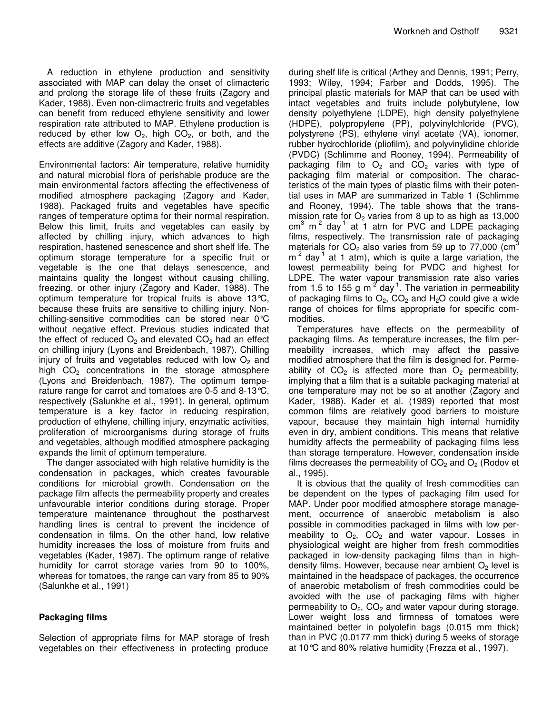A reduction in ethylene production and sensitivity associated with MAP can delay the onset of climacteric and prolong the storage life of these fruits (Zagory and Kader, 1988). Even non-climactreric fruits and vegetables can benefit from reduced ethylene sensitivity and lower respiration rate attributed to MAP. Ethylene production is reduced by ether low  $O_2$ , high  $CO_2$ , or both, and the effects are additive (Zagory and Kader, 1988).

Environmental factors: Air temperature, relative humidity and natural microbial flora of perishable produce are the main environmental factors affecting the effectiveness of modified atmosphere packaging (Zagory and Kader, 1988). Packaged fruits and vegetables have specific ranges of temperature optima for their normal respiration. Below this limit, fruits and vegetables can easily by affected by chilling injury, which advances to high respiration, hastened senescence and short shelf life. The optimum storage temperature for a specific fruit or vegetable is the one that delays senescence, and maintains quality the longest without causing chilling, freezing, or other injury (Zagory and Kader, 1988). The optimum temperature for tropical fruits is above 13°C, because these fruits are sensitive to chilling injury. Nonchilling-sensitive commodities can be stored near 0°C without negative effect. Previous studies indicated that the effect of reduced  $O<sub>2</sub>$  and elevated  $CO<sub>2</sub>$  had an effect on chilling injury (Lyons and Breidenbach, 1987). Chilling injury of fruits and vegetables reduced with low  $O<sub>2</sub>$  and high  $CO<sub>2</sub>$  concentrations in the storage atmosphere (Lyons and Breidenbach, 1987). The optimum temperature range for carrot and tomatoes are 0-5 and 8-13°C, respectively (Salunkhe et al., 1991). In general, optimum temperature is a key factor in reducing respiration, production of ethylene, chilling injury, enzymatic activities, proliferation of microorganisms during storage of fruits and vegetables, although modified atmosphere packaging expands the limit of optimum temperature.

The danger associated with high relative humidity is the condensation in packages, which creates favourable conditions for microbial growth. Condensation on the package film affects the permeability property and creates unfavourable interior conditions during storage. Proper temperature maintenance throughout the postharvest handling lines is central to prevent the incidence of condensation in films. On the other hand, low relative humidity increases the loss of moisture from fruits and vegetables (Kader, 1987). The optimum range of relative humidity for carrot storage varies from 90 to 100%, whereas for tomatoes, the range can vary from 85 to 90% (Salunkhe et al., 1991)

## **Packaging films**

Selection of appropriate films for MAP storage of fresh vegetables on their effectiveness in protecting produce

during shelf life is critical (Arthey and Dennis, 1991; Perry, 1993; Wiley, 1994; Farber and Dodds, 1995). The principal plastic materials for MAP that can be used with intact vegetables and fruits include polybutylene, low density polyethylene (LDPE), high density polyethylene (HDPE), polypropylene (PP), polyvinylchloride (PVC), polystyrene (PS), ethylene vinyl acetate (VA), ionomer, rubber hydrochloride (pliofilm), and polyvinylidine chloride (PVDC) (Schlimme and Rooney, 1994). Permeability of packaging film to  $O_2$  and  $CO_2$  varies with type of packaging film material or composition. The characteristics of the main types of plastic films with their potential uses in MAP are summarized in Table 1 (Schlimme and Rooney, 1994). The table shows that the transmission rate for  $O<sub>2</sub>$  varies from 8 up to as high as 13,000  $\text{cm}^3$  m<sup>-2</sup> day<sup>-1</sup> at 1 atm for PVC and LDPE packaging films, respectively. The transmission rate of packaging materials for CO<sub>2</sub> also varies from 59 up to 77,000 (cm<sup>3</sup>  $m<sup>-2</sup>$  day<sup>-1</sup> at 1 atm), which is quite a large variation, the lowest permeability being for PVDC and highest for LDPE. The water vapour transmission rate also varies from 1.5 to 155 g m<sup>-2</sup> day<sup>-1</sup>. The variation in permeability of packaging films to  $O_2$ ,  $CO_2$  and  $H_2O$  could give a wide range of choices for films appropriate for specific commodities.

Temperatures have effects on the permeability of packaging films. As temperature increases, the film permeability increases, which may affect the passive modified atmosphere that the film is designed for. Permeability of  $CO<sub>2</sub>$  is affected more than  $O<sub>2</sub>$  permeability, implying that a film that is a suitable packaging material at one temperature may not be so at another (Zagory and Kader, 1988). Kader et al. (1989) reported that most common films are relatively good barriers to moisture vapour, because they maintain high internal humidity even in dry, ambient conditions. This means that relative humidity affects the permeability of packaging films less than storage temperature. However, condensation inside films decreases the permeability of  $CO<sub>2</sub>$  and  $O<sub>2</sub>$  (Rodov et al., 1995).

It is obvious that the quality of fresh commodities can be dependent on the types of packaging film used for MAP. Under poor modified atmosphere storage management, occurrence of anaerobic metabolism is also possible in commodities packaged in films with low permeability to  $O_2$ ,  $CO_2$  and water vapour. Losses in physiological weight are higher from fresh commodities packaged in low-density packaging films than in highdensity films. However, because near ambient  $O<sub>2</sub>$  level is maintained in the headspace of packages, the occurrence of anaerobic metabolism of fresh commodities could be avoided with the use of packaging films with higher permeability to  $O_2$ ,  $CO_2$  and water vapour during storage. Lower weight loss and firmness of tomatoes were maintained better in polyolefin bags (0.015 mm thick) than in PVC (0.0177 mm thick) during 5 weeks of storage at 10°C and 80% relative humidity (Frezza et al., 1997).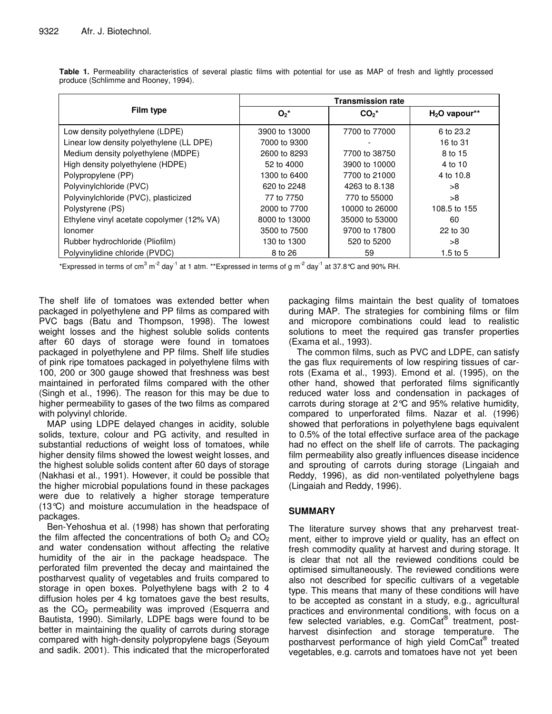| Film type                                 | <b>Transmission rate</b> |                |                |
|-------------------------------------------|--------------------------|----------------|----------------|
|                                           | $O_2^*$                  | $CO2*$         | $H2O$ vapour** |
| Low density polyethylene (LDPE)           | 3900 to 13000            | 7700 to 77000  | 6 to 23.2      |
| Linear low density polyethylene (LL DPE)  | 7000 to 9300             |                | 16 to 31       |
| Medium density polyethylene (MDPE)        | 2600 to 8293             | 7700 to 38750  | 8 to 15        |
| High density polyethylene (HDPE)          | 52 to 4000               | 3900 to 10000  | 4 to 10        |
| Polypropylene (PP)                        | 1300 to 6400             | 7700 to 21000  | 4 to 10.8      |
| Polyvinylchloride (PVC)                   | 620 to 2248              | 4263 to 8.138  | >8             |
| Polyvinylchloride (PVC), plasticized      | 77 to 7750               | 770 to 55000   | >8             |
| Polystyrene (PS)                          | 2000 to 7700             | 10000 to 26000 | 108.5 to 155   |
| Ethylene vinyl acetate copolymer (12% VA) | 8000 to 13000            | 35000 to 53000 | 60             |
| Ionomer                                   | 3500 to 7500             | 9700 to 17800  | 22 to 30       |
| Rubber hydrochloride (Pliofilm)           | 130 to 1300              | 520 to 5200    | >8             |
| Polyvinylidine chloride (PVDC)            | 8 to 26                  | 59             | $1.5$ to $5$   |

**Table 1.** Permeability characteristics of several plastic films with potential for use as MAP of fresh and lightly processed produce (Schlimme and Rooney, 1994).

\*Expressed in terms of cm<sup>3</sup> m<sup>-2</sup> day<sup>-1</sup> at 1 atm. \*\*Expressed in terms of g m<sup>-2</sup> day<sup>-1</sup> at 37.8°C and 90% RH.

The shelf life of tomatoes was extended better when packaged in polyethylene and PP films as compared with PVC bags (Batu and Thompson, 1998). The lowest weight losses and the highest soluble solids contents after 60 days of storage were found in tomatoes packaged in polyethylene and PP films. Shelf life studies of pink ripe tomatoes packaged in polyethylene films with 100, 200 or 300 gauge showed that freshness was best maintained in perforated films compared with the other (Singh et al., 1996). The reason for this may be due to higher permeability to gases of the two films as compared with polyvinyl chloride.

MAP using LDPE delayed changes in acidity, soluble solids, texture, colour and PG activity, and resulted in substantial reductions of weight loss of tomatoes, while higher density films showed the lowest weight losses, and the highest soluble solids content after 60 days of storage (Nakhasi et al., 1991). However, it could be possible that the higher microbial populations found in these packages were due to relatively a higher storage temperature (13°C) and moisture accumulation in the headspace of packages.

Ben-Yehoshua et al. (1998) has shown that perforating the film affected the concentrations of both  $O<sub>2</sub>$  and  $CO<sub>2</sub>$ and water condensation without affecting the relative humidity of the air in the package headspace. The perforated film prevented the decay and maintained the postharvest quality of vegetables and fruits compared to storage in open boxes. Polyethylene bags with 2 to 4 diffusion holes per 4 kg tomatoes gave the best results, as the  $CO<sub>2</sub>$  permeability was improved (Esquerra and Bautista, 1990). Similarly, LDPE bags were found to be better in maintaining the quality of carrots during storage compared with high-density polypropylene bags (Seyoum and sadik. 2001). This indicated that the microperforated packaging films maintain the best quality of tomatoes during MAP. The strategies for combining films or film and micropore combinations could lead to realistic solutions to meet the required gas transfer properties (Exama et al., 1993).

The common films, such as PVC and LDPE, can satisfy the gas flux requirements of low respiring tissues of carrots (Exama et al., 1993). Emond et al. (1995), on the other hand, showed that perforated films significantly reduced water loss and condensation in packages of carrots during storage at 2°C and 95% relative humidity, compared to unperforated films. Nazar et al. (1996) showed that perforations in polyethylene bags equivalent to 0.5% of the total effective surface area of the package had no effect on the shelf life of carrots. The packaging film permeability also greatly influences disease incidence and sprouting of carrots during storage (Lingaiah and Reddy, 1996), as did non-ventilated polyethylene bags (Lingaiah and Reddy, 1996).

#### **SUMMARY**

The literature survey shows that any preharvest treatment, either to improve yield or quality, has an effect on fresh commodity quality at harvest and during storage. It is clear that not all the reviewed conditions could be optimised simultaneously. The reviewed conditions were also not described for specific cultivars of a vegetable type. This means that many of these conditions will have to be accepted as constant in a study, e.g., agricultural practices and environmental conditions, with focus on a few selected variables, e.g. ComCat® treatment, postharvest disinfection and storage temperature. The postharvest performance of high yield ComCat® treated vegetables, e.g. carrots and tomatoes have not yet been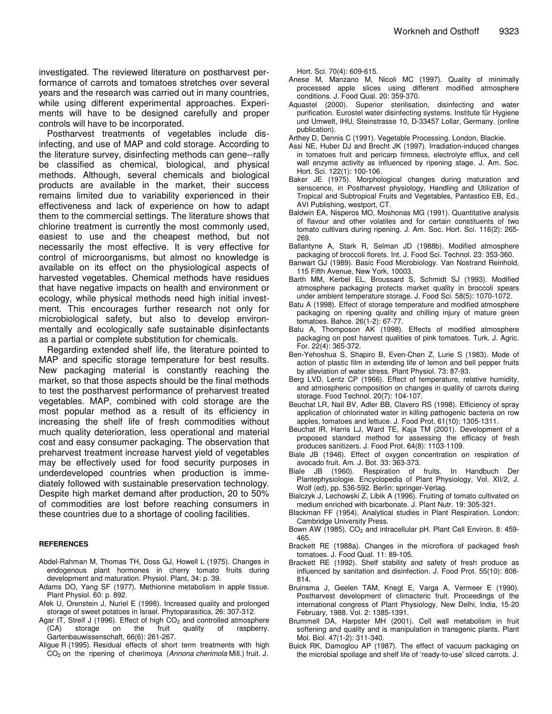investigated. The reviewed literature on postharvest performance of carrots and tomatoes stretches over several years and the research was carried out in many countries, while using different experimental approaches. Experiments will have to be designed carefully and proper controls will have to be incorporated.

Postharvest treatments of vegetables include disinfecting, and use of MAP and cold storage. According to the literature survey, disinfecting methods can gene--rally be classified as chemical, biological, and physical methods. Although, several chemicals and biological products are available in the market, their success remains limited due to variability experienced in their effectiveness and lack of experience on how to adapt them to the commercial settings. The literature shows that chlorine treatment is currently the most commonly used, easiest to use and the cheapest method, but not necessarily the most effective. It is very effective for control of microorganisms, but almost no knowledge is available on its effect on the physiological aspects of harvested vegetables. Chemical methods have residues that have negative impacts on health and environment or ecology, while physical methods need high initial investment. This encourages further research not only for microbiological safety, but also to develop environmentally and ecologically safe sustainable disinfectants as a partial or complete substitution for chemicals.

Regarding extended shelf life, the literature pointed to MAP and specific storage temperature for best results. New packaging material is constantly reaching the market, so that those aspects should be the final methods to test the postharvest performance of preharvest treated vegetables. MAP, combined with cold storage are the most popular method as a result of its efficiency in increasing the shelf life of fresh commodities without much quality deterioration, less operational and material cost and easy consumer packaging. The observation that preharvest treatment increase harvest yield of vegetables may be effectively used for food security purposes in underdeveloped countries when production is immediately followed with sustainable preservation technology. Despite high market demand after production, 20 to 50% of commodities are lost before reaching consumers in these countries due to a shortage of cooling facilities.

#### **REFERENCES**

- Abdel-Rahman M, Thomas TH, Doss GJ, Howell L (1975). Changes in endogenous plant hormones in cherry tomato fruits during development and maturation. Physiol. Plant, 34: p. 39.
- Adams DO, Yang SF (1977). Methionine metabolism in apple tissue. Plant Physiol. 60: p. 892.
- Afek U, Orenstein J, Nuriel E (1998). Increased quality and prolonged storage of sweet potatoes in Israel. Phytoparasitica, 26: 307-312.
- Agar IT, Streif J (1996). Effect of high CO<sub>2</sub> and controlled atmosphere<br>(CA) storage on the fruit quality of raspberry. raspberry. Gartenbauwissenschaft, 66(6): 261-267.
- Aligue R (1995). Residual effects of short term treatments with high CO<sup>2</sup> on the ripening of cherimoya (*Annona cherimola* Mill.) fruit. J.

Hort. Sci. 70(4): 609-615.

- Anese M, Manzano M, Nicoli MC (1997). Quality of minimally processed apple slices using different modified atmosphere conditions. J. Food Qual. 20: 359-370.
- Aquastel (2000). Superior sterilisation, disinfecting and water purification. Eurostel water disinfecting systems. Institute für Hygiene und Umwelt, IHU, Steinstrasse 10, D-33457 Lollar, Germany. (online publication).
- Arthey D, Dennis C (1991). Vegetable Processing. London, Blackie.
- Assi NE, Huber DJ and Brecht JK (1997). Irradiation-induced changes in tomatoes fruit and pericarp firmness, electrolyte efflux, and cell wall enzyme activity as influenced by ripening stage. J. Am. Soc. Hort. Sci. 122(1): 100-106.
- Baker JE (1975). Morphological changes during maturation and senscence, in Postharvest physiology, Handling and Utilization of Tropical and Subtropical Fruits and Vegetables, Pantastico EB, Ed., AVI Publishing, westport, CT.
- Baldwin EA, Nisperos MO, Moshonas MG (1991). Quantitative analysis of flavour and other volatiles and for certain constituents of two tomato cultivars during ripening. J. Am. Soc. Hort. Sci. 116(2): 265- 269.
- Ballantyne A, Stark R, Selman JD (1988b). Modified atmosphere packaging of broccoli florets. Int. J. Food Sci. Technol. 23: 353-360.
- Banwart GJ (1989). Basic Food Microbiology. Van Nostrand Reinhold, 115 Fifth Avenue, New York, 10003.
- Barth MM, Kerbel EL, Broussard S, Schmidt SJ (1993). Modified atmosphere packaging protects market quality in broccoli spears under ambient temperature storage. J. Food Sci. 58(5): 1070-1072.
- Batu A (1998). Effect of storage temperature and modified atmosphere packaging on ripening quality and chilling injury of mature green tomatoes. Bahce. 26(1-2): 67-77.
- Batu A, Thomposon AK (1998). Effects of modified atmosphere packaging on post harvest qualities of pink tomatoes. Turk. J. Agric. For. 22(4): 365-372.
- Ben-Yehoshua S, Shapiro B, Even-Chen Z, Lurie S (1983). Mode of action of plastic film in extending life of lemon and bell pepper fruits by alleviation of water stress. Plant Physiol. 73: 87-93.
- Berg LVD, Lentz CP (1966). Effect of temperature, relative humidity, and atmospheric composition on changes in quality of carrots during storage. Food Technol. 20(7): 104-107.
- Beuchat LR, Nail BV, Adler BB, Clavero RS (1998). Efficiency of spray application of chlorinated water in killing pathogenic bacteria on row apples, tomatoes and lettuce. J. Food Prot. 61(10): 1305-1311.
- Beuchat lR, Harris LJ, Ward TE, Kaja TM (2001). Development of a proposed standard method for assessing the efficacy of fresh produces sanitizers. J. Food Prot. 64(8): 1103-1109.
- Biale JB (1946). Effect of oxygen concentration on respiration of avocado fruit. Am. J. Bot. 33: 363-373.<br>Biale JB (1960). Respiration of
- (1960). Respiration of fruits. In Handbuch Der Plantephysiologie. Encyclopedia of Plant Physiology, Vol. XII/2, J. Wolf (ed), pp. 536-592. Berlin: springer-Verlag.
- Bialczyk J, Lechowski Z, Libik A (1996). Fruiting of tomato cultivated on medium enriched with bicarbonate. J. Plant Nutr. 19: 305-321.
- Blackman FF (1954). Analytical studies in Plant Respiration. London: Cambridge University Press.
- Bown AW (1985). CO<sub>2</sub> and intracellular pH. Plant Cell Environ. 8: 459-465.
- Brackett RE (1988a). Changes in the microflora of packaged fresh tomatoes. J. Food Qual. 11: 89-105.
- Brackett RE (1992). Shelf stability and safety of fresh produce as influenced by sanitation and disinfection. J. Food Prot. 55(10): 808- 814.
- Bruinsma J, Geelen TAM, Knegt E, Varga A, Vermeer E (1990). Postharvest development of climacteric fruit. Proceedings of the international congress of Plant Physiology, New Delhi, India, 15-20 February, 1988. Vol. 2: 1385-1391.
- Brummell DA, Harpster MH (2001). Cell wall metabolism in fruit softening and quality and is manipulation in transgenic plants. Plant Mol. Biol. 47(1-2): 311-340.
- Buick RK, Damoglou AP (1987). The effect of vacuum packaging on the microbial spoilage and shelf life of 'ready-to-use' sliced carrots. J.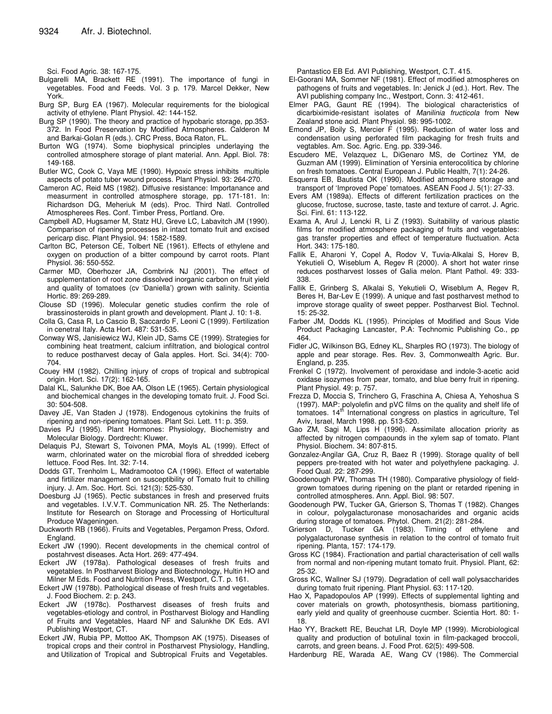Sci. Food Agric. 38: 167-175.

- Bulgarelli MA, Brackett RE (1991). The importance of fungi in vegetables. Food and Feeds. Vol. 3 p. 179. Marcel Dekker, New York.
- Burg SP, Burg EA (1967). Molecular requirements for the biological activity of ethylene. Plant Physiol. 42: 144-152.
- Burg SP (1990). The theory and practice of hypobaric storage, pp.353- 372. In Food Preservation by Modified Atmospheres. Calderon M and Barkai-Golan R (eds.). CRC Press, Boca Raton, FL.
- Burton WG (1974). Some biophysical principles underlaying the controlled atmosphere storage of plant material. Ann. Appl. Biol. 78: 149-168.
- Butler WC, Cook C, Vaya ME (1990). Hypoxic stress inhibits multiple aspects of potato tuber wound process. Plant Physiol. 93: 264-270.
- Cameron AC, Reid MS (1982). Diffusive resistance: Importanance and measurment in controlled atmosphere storage, pp. 171-181. In: Richardson DG, Meheriuk M (eds). Proc. Third Natl. Controlled Atmospherees Res. Conf. Timber Press, Portland. Ore.
- Campbell AD, Hugsamer M, Statz HU, Greve LC, Labavitch JM (1990). Comparison of ripening processes in intact tomato fruit and excised pericarp disc. Plant Physiol. 94: 1582-1589.
- Carlton BC, Peterson CE, Tolbert NE (1961). Effects of ethylene and oxygen on production of a bitter compound by carrot roots. Plant Physiol. 36: 550-552.
- Carmer MD, Oberhozer JA, Combrink NJ (2001). The effect of supplementation of root zone dissolved inorganic carbon on fruit yield and quality of tomatoes (cv 'Daniella') grown with salinity. Scientia Hortic. 89: 269-289.
- Clouse SD (1996). Molecular genetic studies confirm the role of brassinosteroids in plant growth and development. Plant J. 10: 1-8.
- Colla G, Casa R, Lo Cascio B, Saccardo F, Leoni C (1999). Fertilization in cenetral Italy. Acta Hort. 487: 531-535.
- Conway WS, Janisiewicz WJ, Klein JD, Sams CE (1999). Strategies for combining heat treatment, calcium infiltration, and biological control to reduce postharvest decay of Gala apples. Hort. Sci. 34(4): 700- 704.
- Couey HM (1982). Chilling injury of crops of tropical and subtropical origin. Hort. Sci. 17(2): 162-165.
- Dalal KL, Salunkhe DK, Boe AA, Olson LE (1965). Certain physiological and biochemical changes in the developing tomato fruit. J. Food Sci. 30: 504-508.
- Davey JE, Van Staden J (1978). Endogenous cytokinins the fruits of ripening and non-ripening tomatoes. Plant Sci. Lett. 11: p. 359.
- Davies PJ (1995). Plant Hormones: Physiology, Biochemistry and Molecular Biology. Dordrecht: Kluwer.
- Delaquis PJ, Stewart S, Toivonen PMA, Moyls AL (1999). Effect of warm, chlorinated water on the microbial flora of shredded iceberg lettuce. Food Res. Int. 32: 7-14.
- Dodds GT, Trenholm L, Madramootoo CA (1996). Effect of watertable and firtilizer management on susceptibility of Tomato fruit to chilling injury. J. Am. Soc. Hort. Sci. 121(3): 525-530.
- Doesburg JJ (1965). Pectic substances in fresh and preserved fruits and vegetables. I.V.V.T. Communication NR. 25. The Netherlands: Institute for Research on Storage and Processing of Horticultural Produce Wageningen.
- Duckworth RB (1966). Fruits and Vegetables, Pergamon Press, Oxford. England.
- Eckert JW (1990). Recent developments in the chemical control of postahrvest diseases. Acta Hort. 269: 477-494.
- Eckert JW (1978a). Pathological deseases of fresh fruits and vegetables. In Postharvest Biology and Biotechnology, Hultin HO and Milner M Eds. Food and Nutrition Press, Westport, C.T. p. 161.
- Eckert JW (1978b). Pathological disease of fresh fruits and vegetables. J. Food Biochem. 2: p. 243.
- Eckert JW (1978c). Postharvest diseases of fresh fruits and vegetables-etiology and control, in Postharvest Biology and Handling of Fruits and Vegetables, Haard NF and Salunkhe DK Eds. AVI Publishing Westport, CT.
- Eckert JW, Rubia PP, Mottoo AK, Thompson AK (1975). Diseases of tropical crops and their control in Postharvest Physiology, Handling, and Utilization of Tropical and Subtropical Fruits and Vegetables.

Pantastico EB Ed. AVI Publishing, Westport, C.T. 415.

- El-Goorani MA, Sommer NF (1981). Effect of modified atmospheres on pathogens of fruits and vegetables. In: Jenick J (ed.). Hort. Rev. The AVI publishing company Inc., Westport, Conn. 3: 412-461.
- Elmer PAG, Gaunt RE (1994). The biological characteristics of dicarbiximide-resistant isolates of *Manilinia fructicola* from New Zealand stone acid. Plant Physiol. 98: 995-1002.
- Emond JP, Boily S, Mercier F (1995). Reduction of water loss and condensation using perforated film packaging for fresh fruits and vegtables. Am. Soc. Agric. Eng. pp. 339-346.
- Escudero ME, Velazquez L, DiGenaro MS, de Cortinez YM, de Guzman AM (1999). Elimination of Yersinia enterocolitica by chlorine on fresh tomatoes. Central European J. Public Health, 7(1): 24-26.
- Esquerra EB, Bautista OK (1990). Modified atmosphere storage and transport of 'Improved Pope' tomatoes. ASEAN Food J. 5(1): 27-33.
- Evers AM (1989a). Effects of different fertilization practices on the glucose, fructose, sucrose, taste, taste and texture of carrot. J. Agric. Sci. Finl. 61: 113-122.
- Exama A, Arul J, Lencki R, Li Z (1993). Suitability of various plastic films for modified atmosphere packaging of fruits and vegetables: gas transfer properties and effect of temperature fluctuation. Acta Hort. 343: 175-180.
- Fallik E, Aharoni Y, Copel A, Rodov V, Tuvia-Alkalai S, Horev B, Yekutieli O, Wiseblum A, Regev R (2000). A short hot water rinse reduces postharvest losses of Galia melon. Plant Pathol. 49: 333- 338.
- Fallik E, Grinberg S, Alkalai S, Yekutieli O, Wiseblum A, Regev R, Beres H, Bar-Lev E (1999). A unique and fast postharvest method to improve storage quality of sweet pepper. Postharvest Biol. Technol. 15: 25-32.
- Farber JM, Dodds KL (1995). Principles of Modified and Sous Vide Product Packaging Lancaster, P.A: Technomic Publishing Co., pp 464.
- Fidler JC, Wilkinson BG, Edney KL, Sharples RO (1973). The biology of apple and pear storage. Res. Rev. 3, Commonwealth Agric. Bur. England, p. 235.
- Frenkel C (1972). Involvement of peroxidase and indole-3-acetic acid oxidase isozymes from pear, tomato, and blue berry fruit in ripening. Plant Physiol. 49: p. 757.
- Frezza D, Moccia S, Trinchero G, Fraschina A, Chiesa A, Yehoshua S (1997). MAP: polyolefin and pVC films on the quality and shelf life of tomatoes. 14<sup>th</sup> International congress on plastics in agriculture, Tel Aviv, Israel, March 1998. pp. 513-520.
- Gao ZM, Sagi M, Lips H (1996). Assimilate allocation priority as affected by nitrogen compaounds in the xylem sap of tomato. Plant Physiol. Biochem. 34: 807-815.
- Gonzalez-Angilar GA, Cruz R, Baez R (1999). Storage quality of bell peppers pre-treated with hot water and polyethylene packaging. J. Food Qual. 22: 287-299.
- Goodenough PW, Thomas TH (1980). Comparative physiology of fieldgrown tomatoes during ripening on the plant or retarded ripening in controlled atmospheres. Ann. Appl. Biol. 98: 507.
- Goodenough PW, Tucker GA, Grierson S, Thomas T (1982). Changes in colour, polygalacturonase monosacharides and organic acids during storage of tomatoes. Phytol. Chem. 21(2): 281-284.
- Grierson D, Tucker GA (1983). Timing of ethylene and polygalacturonase synthesis in relation to the control of tomato fruit ripening. Planta, 157: 174-179.
- Gross KC (1984). Fractionation and partial characterisation of cell walls from normal and non-ripening mutant tomato fruit. Physiol. Plant, 62: 25-32.
- Gross KC, Wallner SJ (1979). Degradation of cell wall polysaccharides during tomato fruit ripening. Plant Physiol. 63: 117-120.
- Hao X, Papadopoulos AP (1999). Effects of supplemental lighting and cover materials on growth, photosynthesis, biomass partitioning, early yield and quality of greenhouse cucmber. Scientia Hort. 80: 1- 18.
- Hao YY, Brackett RE, Beuchat LR, Doyle MP (1999). Microbiological quality and production of botulinal toxin in film-packaged broccoli, carrots, and green beans. J. Food Prot. 62(5): 499-508.
- Hardenburg RE, Warada AE, Wang CV (1986). The Commercial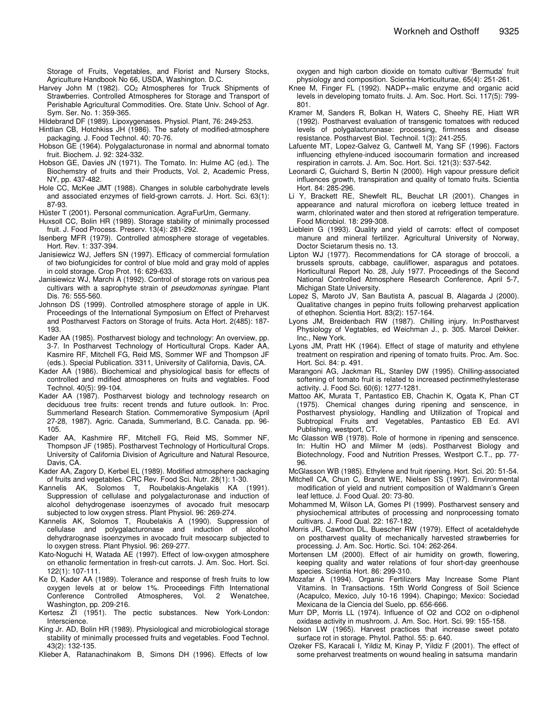Storage of Fruits, Vegetables, and Florist and Nursery Stocks, Agriculture Handbook No 66, USDA, Washington. D.C.

- Harvey John M (1982). CO<sub>2</sub> Atmospheres for Truck Shipments of Strawberries. Controlled Atmospheres for Storage and Transport of Perishable Agricultural Commodities. Ore. State Univ. School of Agr. Sym. Ser. No. 1: 359-365.
- Hildebrand DF (1989). Lipoxygenases. Physiol. Plant, 76: 249-253.
- Hintlian CB, Hotchkiss JH (1986). The safety of modified-atmosphere
- packaging. J. Food Technol. 40: 70-76. Hobson GE (1964). Polygalacturonase in normal and abnormal tomato fruit. Biochem. J. 92: 324-332.
- Hobson GE, Davies JN (1971). The Tomato. In: Hulme AC (ed.). The Biochemstry of fruits and their Products, Vol. 2, Academic Press, NY, pp. 437-482.
- Hole CC, McKee JMT (1988). Changes in soluble carbohydrate levels and associated enzymes of field-grown carrots. J. Hort. Sci. 63(1): 87-93.
- Hüster T (2001). Personal communication. AgraFurUm, Germany.
- Huxsoll CC, Bolin HR (1989). Storage stability of minimally processed fruit. J. Food Process. Preserv. 13(4): 281-292.
- Isenberg MFR (1979). Controlled atmosphere storage of vegetables. Hort. Rev. 1: 337-394.
- Janisiewicz WJ, Jeffers SN (1997). Efficacy of commercial formulation of two biofungicides for control of blue mold and gray mold of apples in cold storage. Crop Prot. 16: 629-633.
- Janisiewicz WJ, Marchi A (1992). Control of storage rots on various pea cultivars with a saprophyte strain of *pseudomonas syringae*. Plant Dis. 76: 555-560.
- Johnson DS (1999). Controlled atmosphere storage of apple in UK. Proceedings of the International Symposium on Effect of Preharvest and Postharvest Factors on Storage of fruits. Acta Hort. 2(485): 187- 193.
- Kader AA (1985). Postharvest biology and technology: An overview, pp. 3-7. In Postharvest Technology of Horticultural Crops. Kader AA, Kasmire RF, Mitchell FG, Reid MS, Sommer WF and Thompson JF (eds.). Special Publication. 3311, University of California, Davis, CA.
- Kader AA (1986). Biochemical and physiological basis for effects of controlled and mdified atmospheres on fruits and vegtables. Food Technol. 40(5): 99-104.
- Kader AA (1987). Postharvest biology and technology research on deciduous tree fruits: recent trends and future outlook. In: Proc. Summerland Research Station. Commemorative Symposium (April 27-28, 1987). Agric. Canada, Summerland, B.C. Canada. pp. 96- 105.
- Kader AA, Kashmire RF, Mitchell FG, Reid MS, Sommer NF, Thompson JF (1985). Postharvest Technology of Horticultural Crops. University of California Division of Agriculture and Natural Resource, Davis, CA.
- Kader AA, Zagory D, Kerbel EL (1989). Modified atmosphere packaging of fruits and vegetables. CRC Rev. Food Sci. Nutr. 28(1): 1-30.
- Kannelis AK, Solomos T, Roubelakis-Angelakis KA (1991). Suppression of cellulase and polygalacturonase and induction of alcohol dehydrogenase isoenzymes of avocado fruit mesocarp subjected to low oxygen stress. Plant Physiol. 96: 269-274.
- Kannelis AK, Solomos T, Roubelakis A (1990). Suppression of cellulase and polygalacturonase and induction of alcohol dehydrarognase isoenzymes in avocado fruit mesocarp subjected to lo oxygen stress. Plant Physiol. 96: 269-277.
- Kato-Noguchi H, Watada AE (1997). Effect of low-oxygen atmosphere on ethanolic fermentation in fresh-cut carrots. J. Am. Soc. Hort. Sci. 122(1): 107-111.
- Ke D, Kader AA (1989). Tolerance and response of fresh fruits to low oxygen levels at or below 1%. Proceedings Fifth International Conference Controlled Atmospheres, Vol. 2 Wenatchee, Conference Controlled Atmospheres, Vol. 2 Washington, pp. 209-216.
- Kertesz ZI (1951). The pectic substances. New York-London: Interscience.
- King Jr. AD, Bolin HR (1989). Physiological and microbiological storage stability of minimally processed fruits and vegetables. Food Technol. 43(2): 132-135.
- Klieber A, Ratanachinakom B, Simons DH (1996). Effects of low

oxygen and high carbon dioxide on tomato cultivar 'Bermuda' fruit physiology and composition. Scientia Horticulturae, 65(4): 251-261.

- Knee M, Finger FL (1992). NADP+-malic enzyme and organic acid levels in developing tomato fruits. J. Am. Soc. Hort. Sci. 117(5): 799- 801.
- Kramer M, Sanders R, Bolkan H, Waters C, Sheehy RE, Hiatt WR (1992). Postharvest evaluation of transgenic tomatoes with reduced levels of polygalacturonase: processing, firmness and disease resistance. Postharvest Biol. Technoil. 1(3): 241-255.
- Lafuente MT, Lopez-Galvez G, Cantwell M, Yang SF (1996). Factors influencing ethylene-induced isocoumarin formation and increased respiration in carrots. J. Am. Soc. Hort. Sci. 121(3): 537-542.
- Leonardi C, Guichard S, Bertin N (2000). High vapour pressure deficit influences growth, transpiration and quality of tomato fruits. Scientia Hort. 84: 285-296.
- Li Y, Brackett RE, Shewfelt RL, Beuchat LR (2001). Changes in appearance and natural microflora on iceberg lettuce treated in warm, chlorinated water and then stored at refrigeration temperature. Food Microbiol. 18: 299-308.
- Lieblein G (1993). Quality and yield of carrots: effect of composet manure and mineral fertilizer. Agricultural University of Norway, Doctor Scietarum thesis no. 13.
- Lipton WJ (1977). Recommendations for CA storage of broccoli, a brussels sprouts, cabbage, cauliflower, asparagus and potatoes. Horticultural Report No. 28, July 1977. Proceedings of the Second National Controlled Atmosphere Research Conference, April 5-7, Michigan State University.
- Lopez S, Maroto JV, San Bautista A, pascual B, Alagarda J (2000). Qualitative changes in pepino fruits following preharvest application of ethephon. Scientia Hort. 83(2): 157-164.
- Lyons JM, Breidenbach RW (1987). Chilling injury. In:Postharvest Physiology of Vegtables, ed Weichman J., p. 305. Marcel Dekker. Inc., New York.
- Lyons JM, Pratt HK (1964). Effect of stage of maturity and ethylene treatment on respiration and ripening of tomato fruits. Proc. Am. Soc. Hort. Sci. 84: p. 491.
- Marangoni AG, Jackman RL, Stanley DW (1995). Chilling-associated softening of tomato fruit is related to increased pectinmethylesterase activity. J. Food Sci. 60(6): 1277-1281.
- Mattoo AK, Murata T, Pantastico EB, Chachin K, Ogata K, Phan CT (1975). Chemical changes during ripening and senscence, in Postharvest physiology, Handling and Utilization of Tropical and Subtropical Fruits and Vegetables, Pantastico EB Ed. AVI Publishing, westport, CT.
- Mc Glasson WB (1978). Role of hormone in ripening and senscence. In: Hultin HO and Milmer M (eds). Postharvest Biology and Biotechnology, Food and Nutrition Presses, Westport C.T., pp. 77- 96.
- McGlasson WB (1985). Ethylene and fruit ripening. Hort. Sci. 20: 51-54.
- Mitchell CA, Chun C, Brandt WE, Nielsen SS (1997). Environmental modification of yield and nutrient composition of Waldmann's Green leaf lettuce. J. Food Qual. 20: 73-80.
- Mohammed M, Wilson LA, Gomes PI (1999). Postharvest sensery and physiochemical attributes of processing and nonprocessing tomato cultivars. J. Food Qual. 22: 167-182.
- Morris JR, Cawthon DL, Buescher RW (1979). Effect of acetaldehyde on postharvest quality of mechanically harvested strawberries for processing. J. Am. Soc. Hortic. Sci. 104: 262-264.
- Mortensen LM (2000). Effect of air humidity on growth, flowering, keeping quality and water relations of four short-day greenhouse species. Scientia Hort. 86: 299-310.
- Mozafar A (1994). Organic Fertilizers May Increase Some Plant Vitamins. In Transactions. 15th World Congress of Soil Science (Acapulco, Mexico, July 10-16 1994). Chapingo; Mexico: Sociedad Mexicana de la Ciencia del Suelo, pp. 656-666.
- Murr DP, Morris LL (1974). Influence of O2 and CO2 on o-diphenol oxidase activity in mushroom. J. Am. Soc. Hort. Sci. 99: 155-158.
- Nelson LW (1965). Harvest practices that increase sweet potato surface rot in storage. Phytol. Pathol. 55: p. 640.
- Ozeker FS, Karacali I, Yildiz M, Kinay P, Yildiz F (2001). The effect of some preharvest treatments on wound healing in satsuma mandarin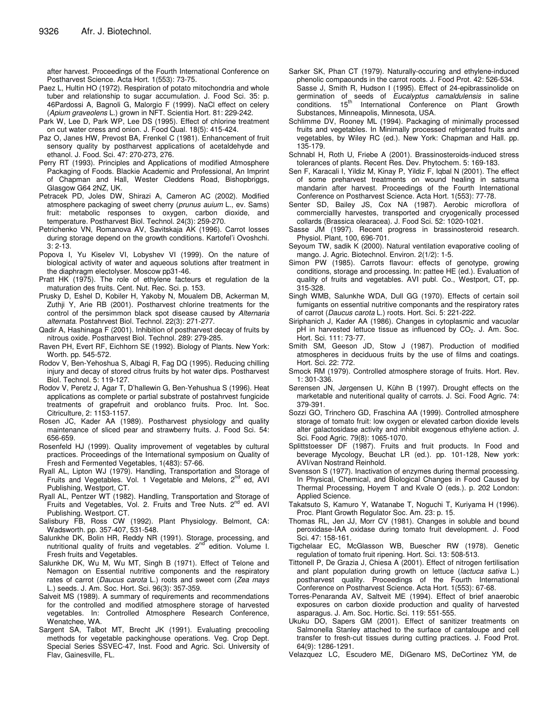after harvest. Proceedings of the Fourth International Conference on Postharvest Science. Acta Hort. 1(553): 73-75.

- Paez L, Hultin HO (1972). Respiration of potato mitochondria and whole tuber and relationship to sugar accumulation. J. Food Sci. 35: p. 46Pardossi A, Bagnoli G, Malorgio F (1999). NaCl effect on celery (*Apium graveolens* L.) grown in NFT. Scientia Hort. 81: 229-242.
- Park W, Lee D, Park WP, Lee DS (1995). Effect of chlorine treatment on cut water cress and onion. J. Food Qual. 18(5): 415-424.
- Paz O, Janes HW, Prevost BA, Frenkel C (1981). Enhancement of fruit sensory quality by postharvest applications of acetaldehyde and ethanol. J. Food. Sci. 47: 270-273, 276.
- Perry RT (1993). Principles and Applications of modified Atmosphere Packaging of Foods. Blackie Academic and Professional, An Imprint of Chapman and Hall, Wester Cleddens Road, Bishopbriggs, Glasgow G64 2NZ, UK.
- Petracek PD, Joles DW, Shirazi A, Cameron AC (2002). Modified atmosphere packaging of sweet cherry (*prunus auium* L., ev. Sams) fruit: metabolic responses to oxygen, carbon dioxide, and temperature. Postharvest Biol. Technol. 24(3): 259-270.
- Petrichenko VN, Romanova AV, Savitskaja AK (1996). Carrot losses during storage depend on the growth conditions. Kartofel'i Ovoshchi. 3: 2-13.
- Popova I, Yu Kiselev VI, Lobyshev VI (1999). On the nature of biological activity of water and aqueous solutions after treatment in the diaphragm electolyser. Moscow pp31-46.
- Pratt HK (1975). The role of ethylene facteurs et regulation de la maturation des fruits. Cent. Nut. Rec. Sci. p. 153.
- Prusky D, Eshel D, Kobiler H, Yakoby N, Moualem DB, Ackerman M, Zuthji Y, Arie RB (2001). Postharvest chlorine treatments for the control of the persimmon black spot disease caused by *Alternaria alternata*. Postahrvest Biol. Technol. 22(3): 271-277.
- Qadir A, Hashinaga F (2001). Inhibition of postharvest decay of fruits by nitrous oxide. Postharvest Biol. Technol. 289: 279-285.
- Raven PH, Evert RF, Eichhorn SE (1992). Biology of Plants. New York: Worth. pp. 545-572.
- Rodov V, Ben-Yehoshua S, Albagi R, Fag DQ (1995). Reducing chilling injury and decay of stored citrus fruits by hot water dips. Postharvest Biol. Technol. 5: 119-127.
- Rodov V, Peretz J, Agar T, D'hallewin G, Ben-Yehushua S (1996). Heat applications as complete or partial substrate of postahrvest fungicide treatments of grapefruit and oroblanco fruits. Proc. Int. Soc. Citriculture, 2: 1153-1157.
- Rosen JC, Kader AA (1989). Postharvest physiology and quality maintenance of sliced pear and strawberry fruits. J. Food Sci. 54: 656-659.
- Rosenfeld HJ (1999). Quality improvement of vegetables by cultural practices. Proceedings of the International symposium on Quality of Fresh and Fermented Vegetables, 1(483): 57-66.
- Ryall AL, Lipton WJ (1979). Handling, Transportation and Storage of Fruits and Vegetables. Vol. 1 Vegetable and Melons, 2<sup>nd</sup> ed, AVI Publishing, Westport, CT.
- Ryall AL, Pentzer WT (1982). Handling, Transportation and Storage of Fruits and Vegetables, Vol. 2. Fruits and Tree Nuts. 2<sup>nd</sup> ed. AVI Publishing. Westport. CT.
- Salisbury FB, Ross CW (1992). Plant Physiology. Belmont, CA: Wadsworth. pp. 357-407, 531-548.
- Salunkhe DK, Bolin HR, Reddy NR (1991). Storage, processing, and nutritional quality of fruits and vegetables. 2<sup>nd</sup> edition. Volume I. Fresh fruits and Vegetables.
- Salunkhe DK, Wu M, Wu MT, Singh B (1971). Effect of Telone and Nemagon on Essential nutritive components and the respiratory rates of carrot (*Daucus carota* L.) roots and sweet corn (*Zea mays* L.) seeds. J. Am. Soc. Hort. Sci. 96(3): 357-359.
- Salveit MS (1989). A summary of requirements and recommendations for the controlled and modified atmosphere storage of harvested vegetables. In: Controlled Atmosphere Research Conference, Wenatchee, WA.
- Sargent SA, Talbot MT, Brecht JK (1991). Evaluating precooling methods for vegetable packinghouse operations*.* Veg. Crop Dept. Special Series SSVEC-47, Inst. Food and Agric. Sci. University of Flav, Gainesville, FL.
- Sarker SK, Phan CT (1979). Naturally-occuring and ethylene-induced phenolic compaounds in the carrot roots. J. Food Prot. 42: 526-534. Sasse J, Smith R, Hudson I (1995). Effect of 24-epibrassinolide on germination of seeds of *Eucalyptus camaldulensis* in saline conditions. 15<sup>th</sup> International Conference on Plant Growth Substances, Minneapolis, Minnesota, USA.
- Schlimme DV, Rooney ML (1994). Packaging of minimally processed fruits and vegetables. In Minimally processed refrigerated fruits and vegetables, by Wiley RC (ed.). New York: Chapman and Hall. pp. 135-179.
- Schnabl H, Roth U, Friebe A (2001). Brassinosteroids-induced stress tolerances of plants. Recent Res. Dev. Phytochem. 5: 169-183.
- Sen F, Karacali I, Yildiz M, Kinay P, Yildiz F, Iqbal N (2001). The effect of some preharvest treatments on wound healing in satsuma mandarin after harvest. Proceedings of the Fourth International Conference on Postharvest Science. Acta Hort. 1(553): 77-78.
- Senter SD, Bailey JS, Cox NA (1987). Aerobic microflora of commerciallly harvestes, transported and cryogenically processed collards (Brassica olearacea). J. Food Sci. 52: 1020-1021.
- Sasse JM (1997). Recent progress in brassinosteroid research. Physiol. Plant, 100, 696-701.
- Seyoum TW, sadik K (2000). Natural ventilation evaporative cooling of mango. J. Agric. Biotechnol. Environ. 2(1/2): 1-5.
- Simon PW (1985). Carrots flavour: effects of genotype, growing conditions, storage and processing. In: pattee HE (ed.). Evaluation of quality of fruits and vegetables. AVI publ. Co., Westport, CT, pp. 315-328.
- Singh WMB, Salunkhe WDA, Dull GG (1970). Effects of certain soil fumigants on essential nutritive componants and the respiratory rates of carrot (*Daucus carota* L.) roots. Hort. Sci. 5: 221-222.
- Siriphanich J, Kader AA (1986). Changes in cytoplasmic and vacuolar pH in harvested lettuce tissue as influenced by CO<sub>2</sub>. J. Am. Soc. Hort. Sci. 111: 73-77.
- Smith SM, Geeson JD, Stow J (1987). Production of modified atmospheres in deciduous fruits by the use of films and coatings. Hort. Sci. 22: 772.
- Smock RM (1979). Controlled atmosphere storage of fruits. Hort. Rev. 1: 301-336.
- Sørensen JN, Jørgensen U, Kühn B (1997). Drought effects on the marketable and nuteritional quality of carrots. J. Sci. Food Agric. 74: 379-391.
- Sozzi GO, Trinchero GD, Fraschina AA (1999). Controlled atmosphere storage of tomato fruit: low oxygen or elevated carbon dioxide levels alter galactosidase activity and inhibit exogenous ethylene action. J. Sci. Food Agric. 79(8): 1065-1070.
- Splittstoesser DF (1987). Fruits and fruit products. In Food and beverage Mycology, Beuchat LR (ed.). pp. 101-128, New york: AVI/van Nostrand Reinhold.
- Svensson S (1977). Inactivation of enzymes during thermal processing. In Physical, Chemical, and Biological Changes in Food Caused by Thermal Processing, Hoyem T and Kvale O (eds.). p. 202 London: Applied Science.
- Takatsuto S, Kamuro Y, Watanabe T, Noguchi T, Kuriyama H (1996). Proc. Plant Growth Regulator Soc. Am. 23: p. 15.
- Thomas RL, Jen JJ, Morr CV (1981). Changes in soluble and bound peroxidase-IAA oxidase during tomato fruit development. J. Food Sci. 47: 158-161.
- Tigchelaar EC, McGlasson WB, Buescher RW (1978). Genetic regulation of tomato fruit ripening. Hort. Sci. 13: 508-513.
- Tittonell P, De Grazia J, Chiesa A (2001). Effect of nitrogen fertilisation and plant population during growth on lettuce (*lactuca sativa* L.) postharvest quality. Proceedings of the Fourth International Conference on Postharvest Science. Acta Hort. 1(553): 67-68.
- Torres-Penaranda AV, Saltveit ME (1994). Effect of brief anaerobic exposures on carbon dioxide production and quality of harvested asparagus. J. Am. Soc. Hortic. Sci. 119: 551-555.
- Ukuku DO, Sapers GM (2001). Effect of sanitizer treatments on Salmonella Stanley attached to the surface of cantaloupe and cell transfer to fresh-cut tissues during cutting practices. J. Food Prot. 64(9): 1286-1291.
- Velazquez LC, Escudero ME, DiGenaro MS, DeCortinez YM, de